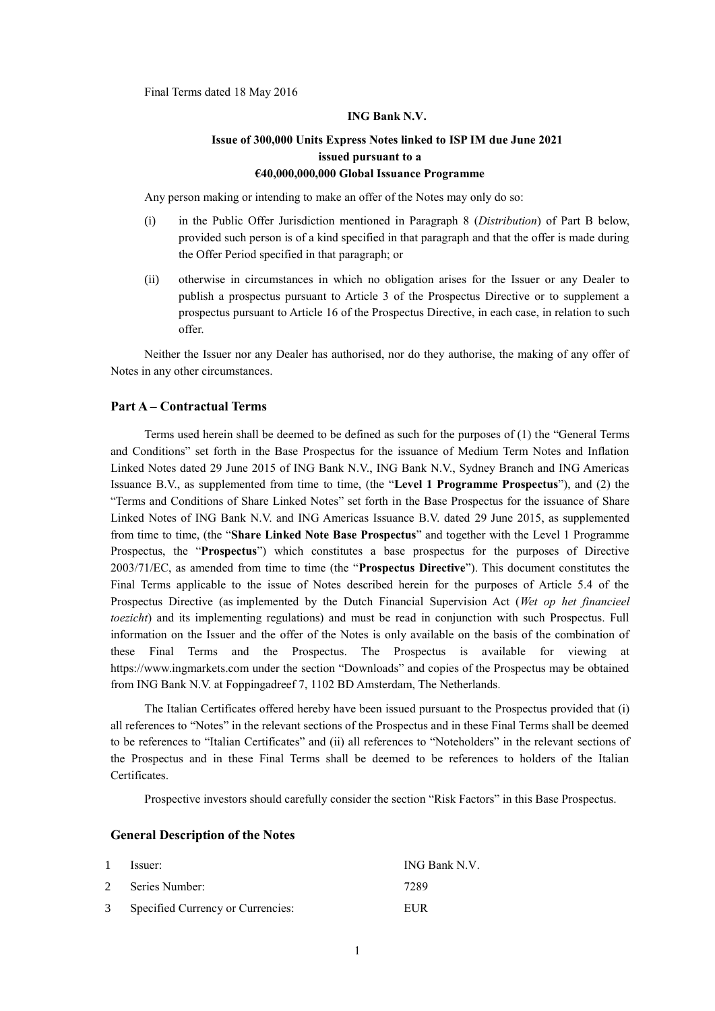Final Terms dated 18 May 2016

#### **ING Bank N.V.**

# **Issue of 300,000 Units Express Notes linked to ISP IM due June 2021 issued pursuant to a €40,000,000,000 Global Issuance Programme**

Any person making or intending to make an offer of the Notes may only do so:

- (i) in the Public Offer Jurisdiction mentioned in Paragraph 8 (*Distribution*) of Part B below, provided such person is of a kind specified in that paragraph and that the offer is made during the Offer Period specified in that paragraph; or
- (ii) otherwise in circumstances in which no obligation arises for the Issuer or any Dealer to publish a prospectus pursuant to Article 3 of the Prospectus Directive or to supplement a prospectus pursuant to Article 16 of the Prospectus Directive, in each case, in relation to such offer.

Neither the Issuer nor any Dealer has authorised, nor do they authorise, the making of any offer of Notes in any other circumstances.

#### **Part A – Contractual Terms**

Terms used herein shall be deemed to be defined as such for the purposes of (1) the "General Terms and Conditions" set forth in the Base Prospectus for the issuance of Medium Term Notes and Inflation Linked Notes dated 29 June 2015 of ING Bank N.V., ING Bank N.V., Sydney Branch and ING Americas Issuance B.V., as supplemented from time to time, (the "**Level 1 Programme Prospectus**"), and (2) the "Terms and Conditions of Share Linked Notes" set forth in the Base Prospectus for the issuance of Share Linked Notes of ING Bank N.V. and ING Americas Issuance B.V. dated 29 June 2015, as supplemented from time to time, (the "**Share Linked Note Base Prospectus**" and together with the Level 1 Programme Prospectus, the "**Prospectus**") which constitutes a base prospectus for the purposes of Directive 2003/71/EC, as amended from time to time (the "**Prospectus Directive**"). This document constitutes the Final Terms applicable to the issue of Notes described herein for the purposes of Article 5.4 of the Prospectus Directive (as implemented by the Dutch Financial Supervision Act (*Wet op het financieel toezicht*) and its implementing regulations) and must be read in conjunction with such Prospectus. Full information on the Issuer and the offer of the Notes is only available on the basis of the combination of these Final Terms and the Prospectus. The Prospectus is available for viewing at https://www.ingmarkets.com under the section "Downloads" and copies of the Prospectus may be obtained from ING Bank N.V. at Foppingadreef 7, 1102 BD Amsterdam, The Netherlands*.*

The Italian Certificates offered hereby have been issued pursuant to the Prospectus provided that (i) all references to "Notes" in the relevant sections of the Prospectus and in these Final Terms shall be deemed to be references to "Italian Certificates" and (ii) all references to "Noteholders" in the relevant sections of the Prospectus and in these Final Terms shall be deemed to be references to holders of the Italian Certificates.

Prospective investors should carefully consider the section "Risk Factors" in this Base Prospectus.

#### **General Description of the Notes**

| $\mathbf{1}$ | Issuer:                             | ING Bank N.V. |
|--------------|-------------------------------------|---------------|
| 2            | Series Number:                      | 7289          |
|              | 3 Specified Currency or Currencies: | EUR           |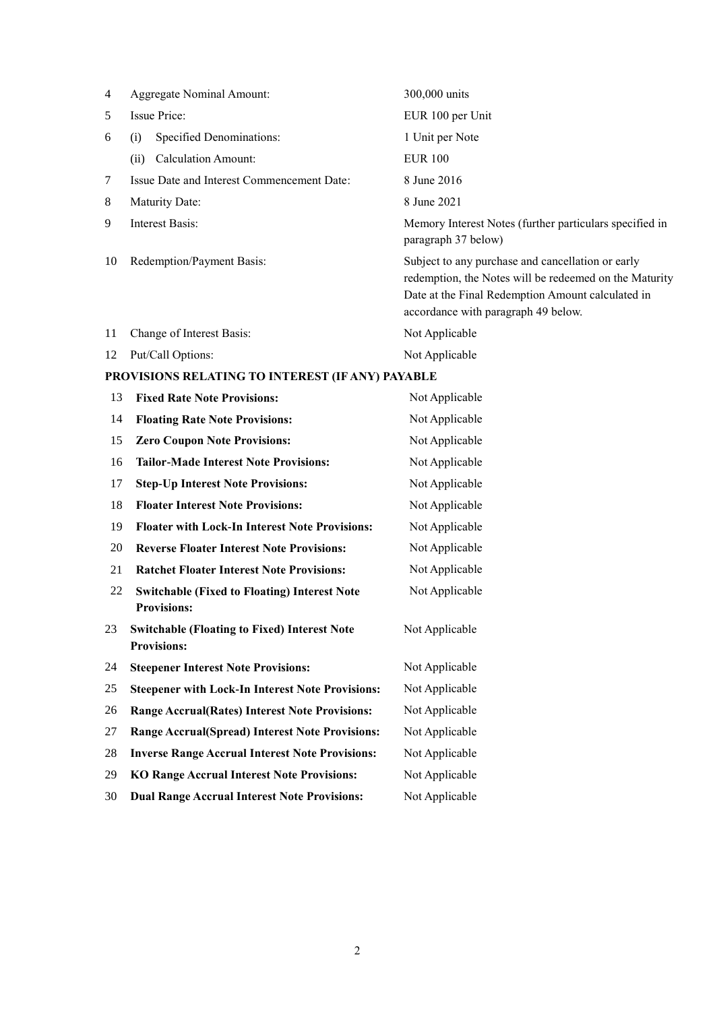| 4  | <b>Aggregate Nominal Amount:</b>           | 300,000 units                                                                                                                                                                                           |  |
|----|--------------------------------------------|---------------------------------------------------------------------------------------------------------------------------------------------------------------------------------------------------------|--|
| 5  | Issue Price:                               | EUR 100 per Unit                                                                                                                                                                                        |  |
| 6  | Specified Denominations:<br>(i)            | 1 Unit per Note                                                                                                                                                                                         |  |
|    | <b>Calculation Amount:</b><br>(ii)         | <b>EUR 100</b>                                                                                                                                                                                          |  |
| 7  | Issue Date and Interest Commencement Date: | 8 June 2016                                                                                                                                                                                             |  |
| 8  | Maturity Date:                             | 8 June 2021                                                                                                                                                                                             |  |
| 9  | Interest Basis:                            | Memory Interest Notes (further particulars specified in<br>paragraph 37 below)                                                                                                                          |  |
| 10 | Redemption/Payment Basis:                  | Subject to any purchase and cancellation or early<br>redemption, the Notes will be redeemed on the Maturity<br>Date at the Final Redemption Amount calculated in<br>accordance with paragraph 49 below. |  |
| 11 | Change of Interest Basis:                  | Not Applicable                                                                                                                                                                                          |  |
| 12 | Put/Call Options:                          | Not Applicable                                                                                                                                                                                          |  |

# **PROVISIONS RELATING TO INTEREST (IF ANY) PAYABLE**

| 13 | <b>Fixed Rate Note Provisions:</b>                                        | Not Applicable |
|----|---------------------------------------------------------------------------|----------------|
| 14 | <b>Floating Rate Note Provisions:</b>                                     | Not Applicable |
| 15 | <b>Zero Coupon Note Provisions:</b>                                       | Not Applicable |
| 16 | <b>Tailor-Made Interest Note Provisions:</b>                              | Not Applicable |
| 17 | <b>Step-Up Interest Note Provisions:</b>                                  | Not Applicable |
| 18 | <b>Floater Interest Note Provisions:</b>                                  | Not Applicable |
| 19 | <b>Floater with Lock-In Interest Note Provisions:</b>                     | Not Applicable |
| 20 | <b>Reverse Floater Interest Note Provisions:</b>                          | Not Applicable |
| 21 | <b>Ratchet Floater Interest Note Provisions:</b>                          | Not Applicable |
| 22 | <b>Switchable (Fixed to Floating) Interest Note</b>                       | Not Applicable |
|    | <b>Provisions:</b>                                                        |                |
| 23 | <b>Switchable (Floating to Fixed) Interest Note</b><br><b>Provisions:</b> | Not Applicable |
| 24 | <b>Steepener Interest Note Provisions:</b>                                | Not Applicable |
| 25 | <b>Steepener with Lock-In Interest Note Provisions:</b>                   | Not Applicable |
| 26 | <b>Range Accrual(Rates) Interest Note Provisions:</b>                     | Not Applicable |
| 27 | <b>Range Accrual(Spread) Interest Note Provisions:</b>                    | Not Applicable |
| 28 | <b>Inverse Range Accrual Interest Note Provisions:</b>                    | Not Applicable |
| 29 | <b>KO Range Accrual Interest Note Provisions:</b>                         | Not Applicable |
| 30 | <b>Dual Range Accrual Interest Note Provisions:</b>                       | Not Applicable |
|    |                                                                           |                |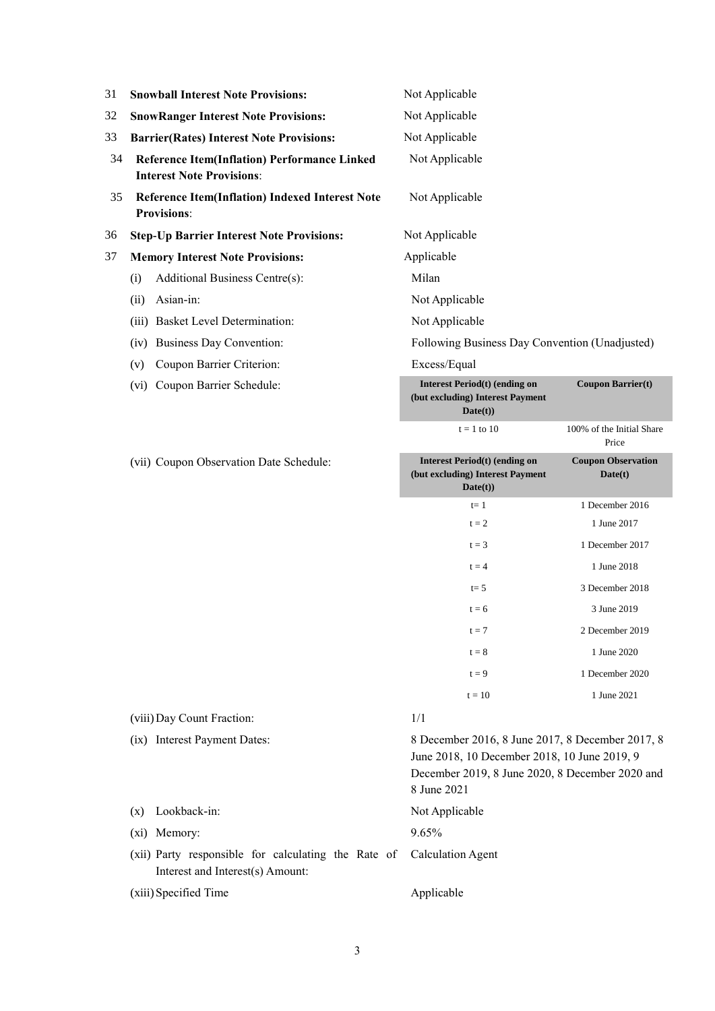| 31 | <b>Snowball Interest Note Provisions:</b>                                               | Not Applicable                                                                                                                                                     |                                      |
|----|-----------------------------------------------------------------------------------------|--------------------------------------------------------------------------------------------------------------------------------------------------------------------|--------------------------------------|
| 32 | <b>SnowRanger Interest Note Provisions:</b>                                             | Not Applicable                                                                                                                                                     |                                      |
| 33 | <b>Barrier(Rates) Interest Note Provisions:</b>                                         | Not Applicable                                                                                                                                                     |                                      |
| 34 | <b>Reference Item(Inflation) Performance Linked</b><br><b>Interest Note Provisions:</b> | Not Applicable                                                                                                                                                     |                                      |
| 35 | <b>Reference Item(Inflation) Indexed Interest Note</b><br><b>Provisions:</b>            | Not Applicable                                                                                                                                                     |                                      |
| 36 | <b>Step-Up Barrier Interest Note Provisions:</b>                                        | Not Applicable                                                                                                                                                     |                                      |
| 37 | <b>Memory Interest Note Provisions:</b>                                                 | Applicable                                                                                                                                                         |                                      |
|    | Additional Business Centre(s):<br>(i)                                                   | Milan                                                                                                                                                              |                                      |
|    | Asian-in:<br>(ii)                                                                       | Not Applicable                                                                                                                                                     |                                      |
|    | <b>Basket Level Determination:</b><br>(iii)                                             | Not Applicable                                                                                                                                                     |                                      |
|    | <b>Business Day Convention:</b><br>(iv)                                                 | Following Business Day Convention (Unadjusted)                                                                                                                     |                                      |
|    | Coupon Barrier Criterion:<br>(v)                                                        | Excess/Equal                                                                                                                                                       |                                      |
|    | Coupon Barrier Schedule:<br>(vi)                                                        | <b>Interest Period(t) (ending on</b><br>(but excluding) Interest Payment<br>Date(t)                                                                                | <b>Coupon Barrier(t)</b>             |
|    |                                                                                         | $t = 1$ to 10                                                                                                                                                      | 100% of the Initial Share<br>Price   |
|    | (vii) Coupon Observation Date Schedule:                                                 | <b>Interest Period(t) (ending on</b><br>(but excluding) Interest Payment<br>$\textbf{Date}(t)$                                                                     | <b>Coupon Observation</b><br>Date(t) |
|    |                                                                                         | $t=1$                                                                                                                                                              | 1 December 2016                      |
|    |                                                                                         | $t = 2$                                                                                                                                                            | 1 June 2017                          |
|    |                                                                                         | $t = 3$                                                                                                                                                            | 1 December 2017                      |
|    |                                                                                         | $t = 4$                                                                                                                                                            | 1 June 2018                          |
|    |                                                                                         | $t=5$                                                                                                                                                              | 3 December 2018                      |
|    |                                                                                         | $t = 6$                                                                                                                                                            | 3 June 2019                          |
|    |                                                                                         | $t = 7$                                                                                                                                                            | 2 December 2019                      |
|    |                                                                                         | $t = 8$                                                                                                                                                            | 1 June 2020                          |
|    |                                                                                         | $t = 9$                                                                                                                                                            | 1 December 2020                      |
|    |                                                                                         | $t = 10$                                                                                                                                                           | 1 June 2021                          |
|    | (viii) Day Count Fraction:                                                              | 1/1                                                                                                                                                                |                                      |
|    | (ix) Interest Payment Dates:                                                            | 8 December 2016, 8 June 2017, 8 December 2017, 8<br>June 2018, 10 December 2018, 10 June 2019, 9<br>December 2019, 8 June 2020, 8 December 2020 and<br>8 June 2021 |                                      |
|    | Lookback-in:<br>(x)                                                                     | Not Applicable                                                                                                                                                     |                                      |
|    | Memory:<br>$(x_1)$                                                                      | 9.65%                                                                                                                                                              |                                      |
|    | (xii) Party responsible for calculating the Rate of<br>Interest and Interest(s) Amount: | <b>Calculation Agent</b>                                                                                                                                           |                                      |

(xiii)Specified Time Applicable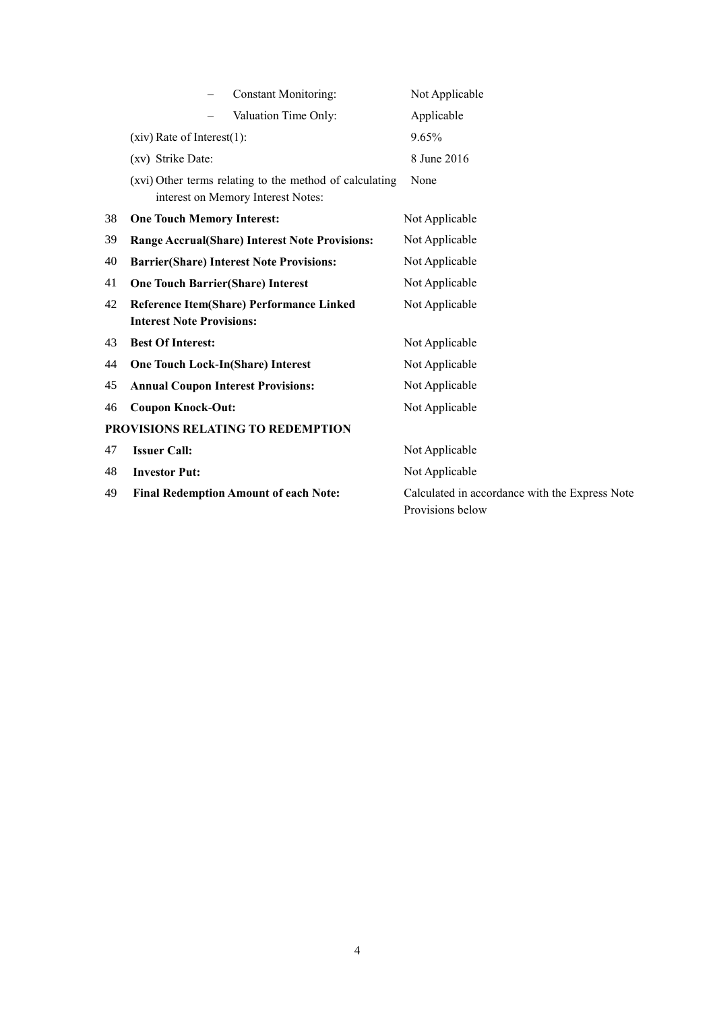|    | <b>Constant Monitoring:</b>                                                                   | Not Applicable                                                     |
|----|-----------------------------------------------------------------------------------------------|--------------------------------------------------------------------|
|    | Valuation Time Only:                                                                          | Applicable                                                         |
|    | $(xiv)$ Rate of Interest $(1)$ :                                                              | 9.65%                                                              |
|    | (xv) Strike Date:                                                                             | 8 June 2016                                                        |
|    | (xvi) Other terms relating to the method of calculating<br>interest on Memory Interest Notes: | None                                                               |
| 38 | <b>One Touch Memory Interest:</b>                                                             | Not Applicable                                                     |
| 39 | <b>Range Accrual(Share) Interest Note Provisions:</b>                                         | Not Applicable                                                     |
| 40 | <b>Barrier(Share) Interest Note Provisions:</b>                                               | Not Applicable                                                     |
| 41 | <b>One Touch Barrier(Share) Interest</b>                                                      | Not Applicable                                                     |
| 42 | Reference Item(Share) Performance Linked<br><b>Interest Note Provisions:</b>                  | Not Applicable                                                     |
| 43 | <b>Best Of Interest:</b>                                                                      | Not Applicable                                                     |
| 44 | <b>One Touch Lock-In(Share) Interest</b>                                                      | Not Applicable                                                     |
| 45 | <b>Annual Coupon Interest Provisions:</b>                                                     | Not Applicable                                                     |
| 46 | <b>Coupon Knock-Out:</b>                                                                      | Not Applicable                                                     |
|    | PROVISIONS RELATING TO REDEMPTION                                                             |                                                                    |
| 47 | <b>Issuer Call:</b>                                                                           | Not Applicable                                                     |
| 48 | <b>Investor Put:</b>                                                                          | Not Applicable                                                     |
| 49 | <b>Final Redemption Amount of each Note:</b>                                                  | Calculated in accordance with the Express Note<br>Provisions below |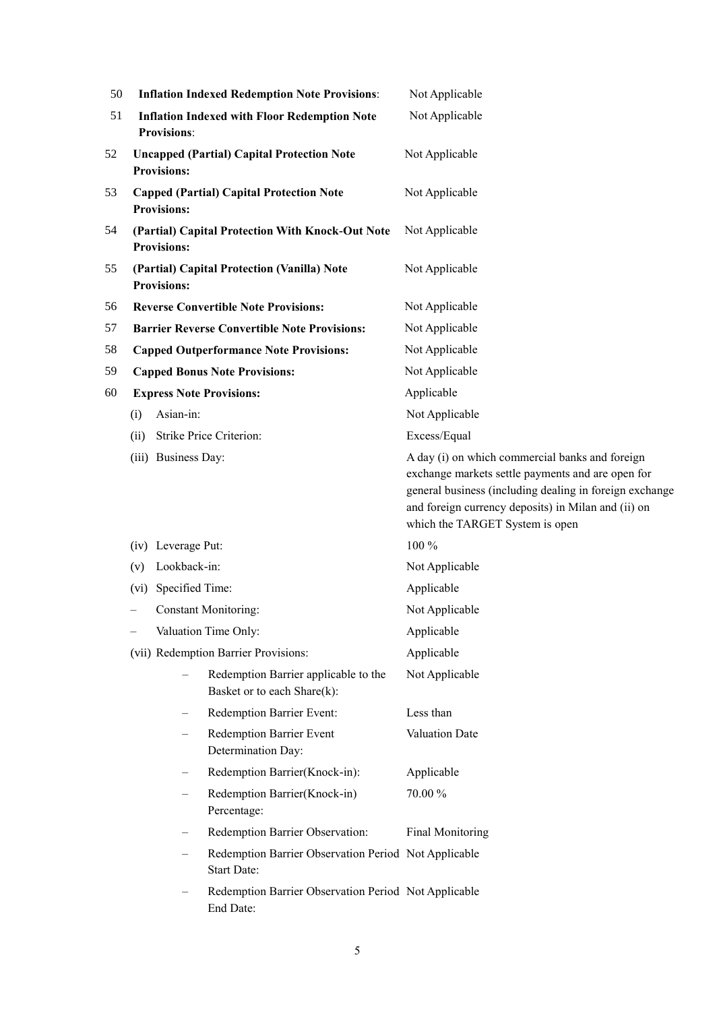| 50 | <b>Inflation Indexed Redemption Note Provisions:</b>                      |                     |                                                                            | Not Applicable                                                                                                                                                                                                                                            |  |
|----|---------------------------------------------------------------------------|---------------------|----------------------------------------------------------------------------|-----------------------------------------------------------------------------------------------------------------------------------------------------------------------------------------------------------------------------------------------------------|--|
| 51 | <b>Inflation Indexed with Floor Redemption Note</b><br><b>Provisions:</b> |                     |                                                                            | Not Applicable                                                                                                                                                                                                                                            |  |
| 52 | <b>Uncapped (Partial) Capital Protection Note</b><br><b>Provisions:</b>   |                     |                                                                            | Not Applicable                                                                                                                                                                                                                                            |  |
| 53 |                                                                           | <b>Provisions:</b>  | <b>Capped (Partial) Capital Protection Note</b>                            | Not Applicable                                                                                                                                                                                                                                            |  |
| 54 |                                                                           | <b>Provisions:</b>  | (Partial) Capital Protection With Knock-Out Note                           | Not Applicable                                                                                                                                                                                                                                            |  |
| 55 |                                                                           | <b>Provisions:</b>  | (Partial) Capital Protection (Vanilla) Note                                | Not Applicable                                                                                                                                                                                                                                            |  |
| 56 |                                                                           |                     | <b>Reverse Convertible Note Provisions:</b>                                | Not Applicable                                                                                                                                                                                                                                            |  |
| 57 |                                                                           |                     | <b>Barrier Reverse Convertible Note Provisions:</b>                        | Not Applicable                                                                                                                                                                                                                                            |  |
| 58 |                                                                           |                     | <b>Capped Outperformance Note Provisions:</b>                              | Not Applicable                                                                                                                                                                                                                                            |  |
| 59 |                                                                           |                     | <b>Capped Bonus Note Provisions:</b>                                       | Not Applicable                                                                                                                                                                                                                                            |  |
| 60 |                                                                           |                     | <b>Express Note Provisions:</b>                                            | Applicable                                                                                                                                                                                                                                                |  |
|    | (i)                                                                       | Asian-in:           |                                                                            | Not Applicable                                                                                                                                                                                                                                            |  |
|    | (ii)                                                                      |                     | <b>Strike Price Criterion:</b>                                             | Excess/Equal                                                                                                                                                                                                                                              |  |
|    |                                                                           | (iii) Business Day: |                                                                            | A day (i) on which commercial banks and foreign<br>exchange markets settle payments and are open for<br>general business (including dealing in foreign exchange<br>and foreign currency deposits) in Milan and (ii) on<br>which the TARGET System is open |  |
|    |                                                                           | (iv) Leverage Put:  |                                                                            | 100 %                                                                                                                                                                                                                                                     |  |
|    | (v)                                                                       | Lookback-in:        |                                                                            | Not Applicable                                                                                                                                                                                                                                            |  |
|    | $(v_i)$                                                                   | Specified Time:     |                                                                            | Applicable                                                                                                                                                                                                                                                |  |
|    |                                                                           |                     | <b>Constant Monitoring:</b>                                                | Not Applicable                                                                                                                                                                                                                                            |  |
|    |                                                                           |                     | Valuation Time Only:                                                       | Applicable                                                                                                                                                                                                                                                |  |
|    |                                                                           |                     | (vii) Redemption Barrier Provisions:                                       | Applicable                                                                                                                                                                                                                                                |  |
|    |                                                                           |                     | Redemption Barrier applicable to the<br>Basket or to each Share(k):        | Not Applicable                                                                                                                                                                                                                                            |  |
|    |                                                                           |                     | Redemption Barrier Event:                                                  | Less than                                                                                                                                                                                                                                                 |  |
|    |                                                                           | $\qquad \qquad -$   | Redemption Barrier Event<br>Determination Day:                             | Valuation Date                                                                                                                                                                                                                                            |  |
|    |                                                                           |                     | Redemption Barrier(Knock-in):                                              | Applicable                                                                                                                                                                                                                                                |  |
|    |                                                                           |                     | Redemption Barrier(Knock-in)<br>Percentage:                                | 70.00%                                                                                                                                                                                                                                                    |  |
|    |                                                                           |                     | Redemption Barrier Observation:                                            | <b>Final Monitoring</b>                                                                                                                                                                                                                                   |  |
|    |                                                                           |                     | Redemption Barrier Observation Period Not Applicable<br><b>Start Date:</b> |                                                                                                                                                                                                                                                           |  |
|    |                                                                           |                     | Redemption Barrier Observation Period Not Applicable<br>End Date:          |                                                                                                                                                                                                                                                           |  |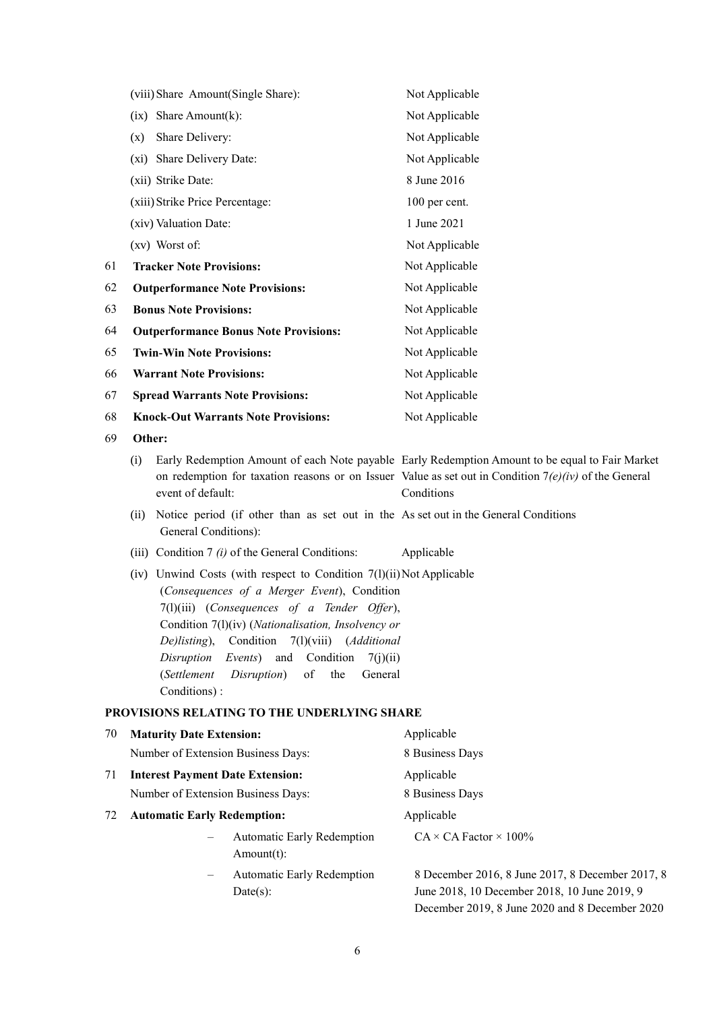|    | (viii) Share Amount(Single Share):                                                                                                                                                                                                                                                                                                                                                                                 | Not Applicable                                                                                                                                                                                                           |
|----|--------------------------------------------------------------------------------------------------------------------------------------------------------------------------------------------------------------------------------------------------------------------------------------------------------------------------------------------------------------------------------------------------------------------|--------------------------------------------------------------------------------------------------------------------------------------------------------------------------------------------------------------------------|
|    | $(ix)$ Share Amount $(k)$ :                                                                                                                                                                                                                                                                                                                                                                                        | Not Applicable                                                                                                                                                                                                           |
|    | Share Delivery:<br>(x)                                                                                                                                                                                                                                                                                                                                                                                             | Not Applicable                                                                                                                                                                                                           |
|    | (xi) Share Delivery Date:                                                                                                                                                                                                                                                                                                                                                                                          | Not Applicable                                                                                                                                                                                                           |
|    | (xii) Strike Date:                                                                                                                                                                                                                                                                                                                                                                                                 | 8 June 2016                                                                                                                                                                                                              |
|    | (xiii) Strike Price Percentage:                                                                                                                                                                                                                                                                                                                                                                                    | 100 per cent.                                                                                                                                                                                                            |
|    | (xiv) Valuation Date:                                                                                                                                                                                                                                                                                                                                                                                              | 1 June 2021                                                                                                                                                                                                              |
|    | (xv) Worst of:                                                                                                                                                                                                                                                                                                                                                                                                     | Not Applicable                                                                                                                                                                                                           |
| 61 | <b>Tracker Note Provisions:</b>                                                                                                                                                                                                                                                                                                                                                                                    | Not Applicable                                                                                                                                                                                                           |
| 62 | <b>Outperformance Note Provisions:</b>                                                                                                                                                                                                                                                                                                                                                                             | Not Applicable                                                                                                                                                                                                           |
| 63 | <b>Bonus Note Provisions:</b>                                                                                                                                                                                                                                                                                                                                                                                      | Not Applicable                                                                                                                                                                                                           |
| 64 | <b>Outperformance Bonus Note Provisions:</b>                                                                                                                                                                                                                                                                                                                                                                       | Not Applicable                                                                                                                                                                                                           |
| 65 | <b>Twin-Win Note Provisions:</b>                                                                                                                                                                                                                                                                                                                                                                                   | Not Applicable                                                                                                                                                                                                           |
| 66 | <b>Warrant Note Provisions:</b>                                                                                                                                                                                                                                                                                                                                                                                    | Not Applicable                                                                                                                                                                                                           |
| 67 | <b>Spread Warrants Note Provisions:</b>                                                                                                                                                                                                                                                                                                                                                                            | Not Applicable                                                                                                                                                                                                           |
| 68 | <b>Knock-Out Warrants Note Provisions:</b>                                                                                                                                                                                                                                                                                                                                                                         | Not Applicable                                                                                                                                                                                                           |
| 69 | Other:                                                                                                                                                                                                                                                                                                                                                                                                             |                                                                                                                                                                                                                          |
|    | (i)<br>event of default:                                                                                                                                                                                                                                                                                                                                                                                           | Early Redemption Amount of each Note payable Early Redemption Amount to be equal to Fair Market<br>on redemption for taxation reasons or on Issuer Value as set out in Condition $7(e)(iv)$ of the General<br>Conditions |
|    | Notice period (if other than as set out in the As set out in the General Conditions<br>(ii)<br>General Conditions):                                                                                                                                                                                                                                                                                                |                                                                                                                                                                                                                          |
|    | (iii) Condition 7 $(i)$ of the General Conditions:                                                                                                                                                                                                                                                                                                                                                                 | Applicable                                                                                                                                                                                                               |
|    | (iv) Unwind Costs (with respect to Condition $7(1)(ii)$ Not Applicable<br>(Consequences of a Merger Event), Condition<br>$7(l)(iii)$ (Consequences of a Tender Offer),<br>Condition 7(1)(iv) (Nationalisation, Insolvency or<br>Condition 7(1)(viii) (Additional<br>$Dellisting$ ),<br>Condition<br>Disruption<br>Events)<br>and<br>7(j)(ii)<br>(Settlement<br>of<br>the<br>General<br>Disruption)<br>Conditions): |                                                                                                                                                                                                                          |
|    | PROVISIONS RELATING TO THE UNDERLYING SHARE                                                                                                                                                                                                                                                                                                                                                                        |                                                                                                                                                                                                                          |
| 70 | <b>Maturity Date Extension:</b>                                                                                                                                                                                                                                                                                                                                                                                    | Applicable                                                                                                                                                                                                               |
|    | Number of Extension Business Days:                                                                                                                                                                                                                                                                                                                                                                                 | 8 Business Days                                                                                                                                                                                                          |
| 71 | <b>Interest Payment Date Extension:</b>                                                                                                                                                                                                                                                                                                                                                                            | Applicable                                                                                                                                                                                                               |
|    | Number of Extension Business Days:                                                                                                                                                                                                                                                                                                                                                                                 | 8 Business Days                                                                                                                                                                                                          |
| 72 | <b>Automatic Early Redemption:</b>                                                                                                                                                                                                                                                                                                                                                                                 | Applicable                                                                                                                                                                                                               |
|    | <b>Automatic Early Redemption</b><br>$Amount(t)$ :                                                                                                                                                                                                                                                                                                                                                                 | $CA \times CA$ Factor $\times$ 100%                                                                                                                                                                                      |
|    | Automatic Early Redemption<br>Date(s):                                                                                                                                                                                                                                                                                                                                                                             | 8 December 2016, 8 June 2017, 8 December 2017, 8<br>June 2018, 10 December 2018, 10 June 2019, 9                                                                                                                         |

December 2019, 8 June 2020 and 8 December 2020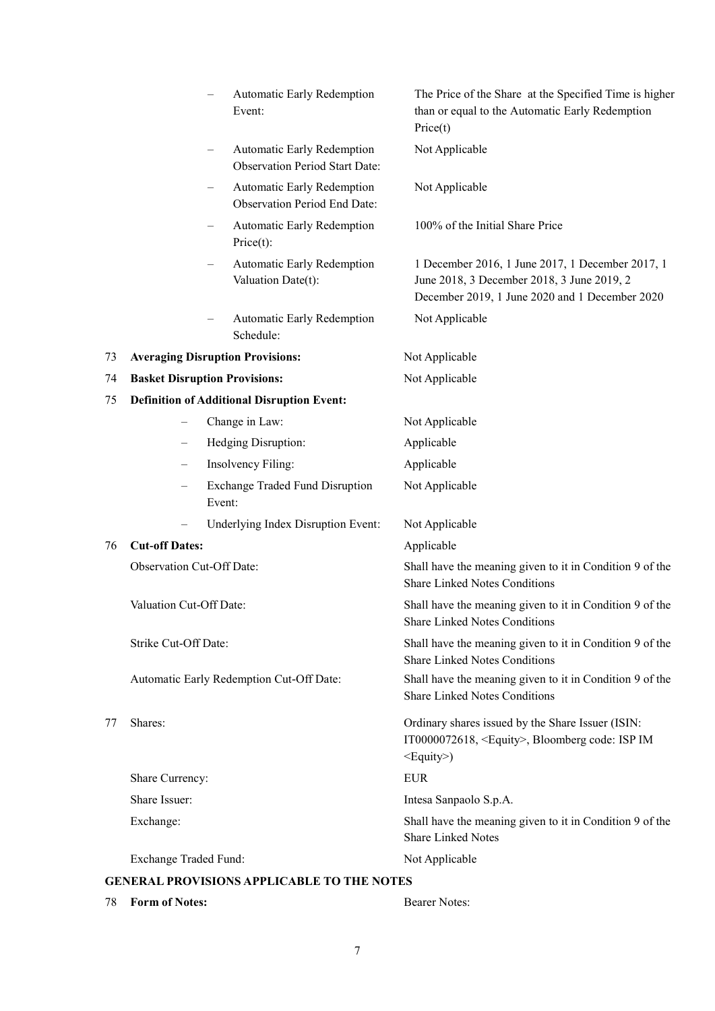|    |                                  | Automatic Early Redemption<br>Event:                                   | The Price of the Share at the Specified Time is higher<br>than or equal to the Automatic Early Redemption<br>Price(t)                                      |
|----|----------------------------------|------------------------------------------------------------------------|------------------------------------------------------------------------------------------------------------------------------------------------------------|
|    |                                  | Automatic Early Redemption<br><b>Observation Period Start Date:</b>    | Not Applicable                                                                                                                                             |
|    |                                  | Automatic Early Redemption<br>—<br><b>Observation Period End Date:</b> | Not Applicable                                                                                                                                             |
|    |                                  | Automatic Early Redemption<br>Price(t):                                | 100% of the Initial Share Price                                                                                                                            |
|    |                                  | Automatic Early Redemption<br>Valuation Date(t):                       | 1 December 2016, 1 June 2017, 1 December 2017, 1<br>June 2018, 3 December 2018, 3 June 2019, 2<br>December 2019, 1 June 2020 and 1 December 2020           |
|    |                                  | <b>Automatic Early Redemption</b><br>Schedule:                         | Not Applicable                                                                                                                                             |
| 73 |                                  | <b>Averaging Disruption Provisions:</b>                                | Not Applicable                                                                                                                                             |
| 74 |                                  | <b>Basket Disruption Provisions:</b>                                   | Not Applicable                                                                                                                                             |
| 75 |                                  | <b>Definition of Additional Disruption Event:</b>                      |                                                                                                                                                            |
|    | $\qquad \qquad -$                | Change in Law:                                                         | Not Applicable                                                                                                                                             |
|    | $\overline{\phantom{0}}$         | Hedging Disruption:                                                    | Applicable                                                                                                                                                 |
|    |                                  | Insolvency Filing:                                                     | Applicable                                                                                                                                                 |
|    |                                  | <b>Exchange Traded Fund Disruption</b><br>Event:                       | Not Applicable                                                                                                                                             |
|    |                                  | Underlying Index Disruption Event:                                     | Not Applicable                                                                                                                                             |
| 76 | <b>Cut-off Dates:</b>            |                                                                        | Applicable                                                                                                                                                 |
|    | <b>Observation Cut-Off Date:</b> |                                                                        | Shall have the meaning given to it in Condition 9 of the<br><b>Share Linked Notes Conditions</b>                                                           |
|    | Valuation Cut-Off Date:          |                                                                        | Shall have the meaning given to it in Condition 9 of the<br><b>Share Linked Notes Conditions</b>                                                           |
|    | Strike Cut-Off Date:             |                                                                        | Shall have the meaning given to it in Condition 9 of the<br><b>Share Linked Notes Conditions</b>                                                           |
|    |                                  | Automatic Early Redemption Cut-Off Date:                               | Shall have the meaning given to it in Condition 9 of the<br><b>Share Linked Notes Conditions</b>                                                           |
| 77 | Shares:                          |                                                                        | Ordinary shares issued by the Share Issuer (ISIN:<br>IT0000072618, <equity>, Bloomberg code: ISP IM<br/><math>\leq</math>Equity<math>\geq</math>)</equity> |
|    | Share Currency:                  |                                                                        | <b>EUR</b>                                                                                                                                                 |
|    | Share Issuer:                    |                                                                        | Intesa Sanpaolo S.p.A.                                                                                                                                     |
|    | Exchange:                        |                                                                        | Shall have the meaning given to it in Condition 9 of the<br><b>Share Linked Notes</b>                                                                      |
|    | Exchange Traded Fund:            |                                                                        | Not Applicable                                                                                                                                             |
|    |                                  | <b>GENERAL PROVISIONS APPLICABLE TO THE NOTES</b>                      |                                                                                                                                                            |
| 78 | <b>Form of Notes:</b>            |                                                                        | <b>Bearer Notes:</b>                                                                                                                                       |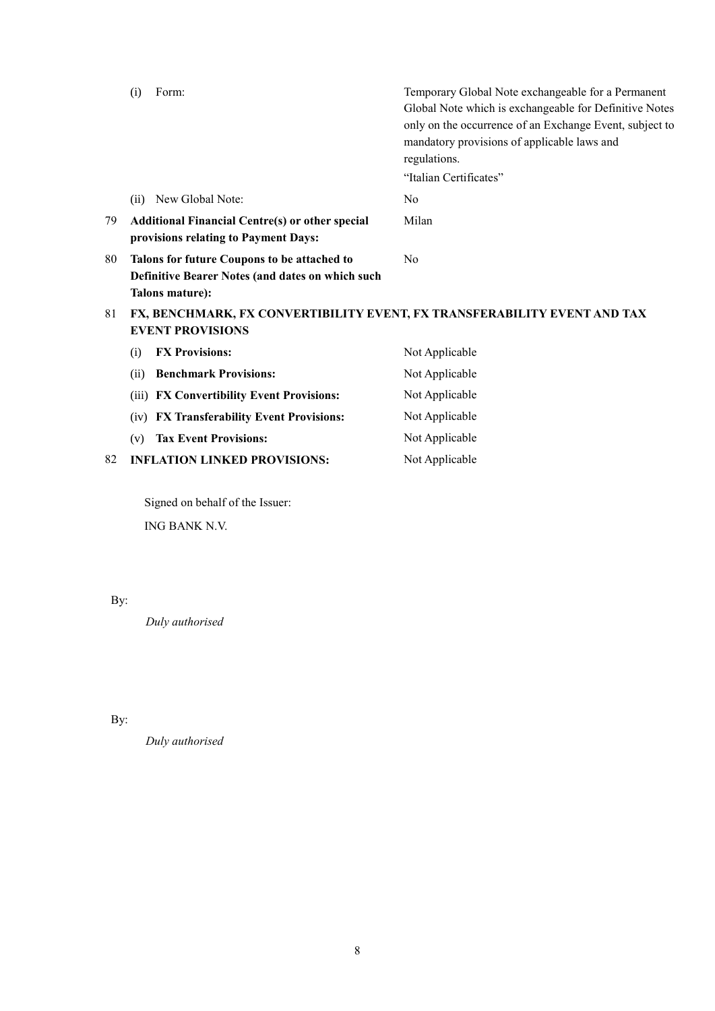|                                                                                                           | Form:<br>(i)                                                                                                       | Temporary Global Note exchangeable for a Permanent<br>Global Note which is exchangeable for Definitive Notes<br>only on the occurrence of an Exchange Event, subject to<br>mandatory provisions of applicable laws and<br>regulations. |
|-----------------------------------------------------------------------------------------------------------|--------------------------------------------------------------------------------------------------------------------|----------------------------------------------------------------------------------------------------------------------------------------------------------------------------------------------------------------------------------------|
|                                                                                                           |                                                                                                                    | "Italian Certificates"                                                                                                                                                                                                                 |
|                                                                                                           | New Global Note:<br>(ii)                                                                                           | N <sub>0</sub>                                                                                                                                                                                                                         |
| 79                                                                                                        | <b>Additional Financial Centre(s) or other special</b><br>provisions relating to Payment Days:                     | Milan                                                                                                                                                                                                                                  |
| 80                                                                                                        | Talons for future Coupons to be attached to<br>Definitive Bearer Notes (and dates on which such<br>Talons mature): | No                                                                                                                                                                                                                                     |
| 81<br>FX, BENCHMARK, FX CONVERTIBILITY EVENT, FX TRANSFERABILITY EVENT AND TAX<br><b>EVENT PROVISIONS</b> |                                                                                                                    |                                                                                                                                                                                                                                        |
|                                                                                                           | <b>FX Provisions:</b><br>(i)                                                                                       | Not Applicable                                                                                                                                                                                                                         |
|                                                                                                           | <b>Benchmark Provisions:</b><br>(ii)                                                                               | Not Applicable                                                                                                                                                                                                                         |
|                                                                                                           | <b>FX Convertibility Event Provisions:</b><br>(iii)                                                                | Not Applicable                                                                                                                                                                                                                         |
|                                                                                                           | <b>FX Transferability Event Provisions:</b><br>(iv)                                                                | Not Applicable                                                                                                                                                                                                                         |
|                                                                                                           | <b>Tax Event Provisions:</b><br>(v)                                                                                | Not Applicable                                                                                                                                                                                                                         |
| 82                                                                                                        | <b>INFLATION LINKED PROVISIONS:</b>                                                                                | Not Applicable                                                                                                                                                                                                                         |

Signed on behalf of the Issuer: ING BANK N.V.

By:

*Duly authorised*

By:

*Duly authorised*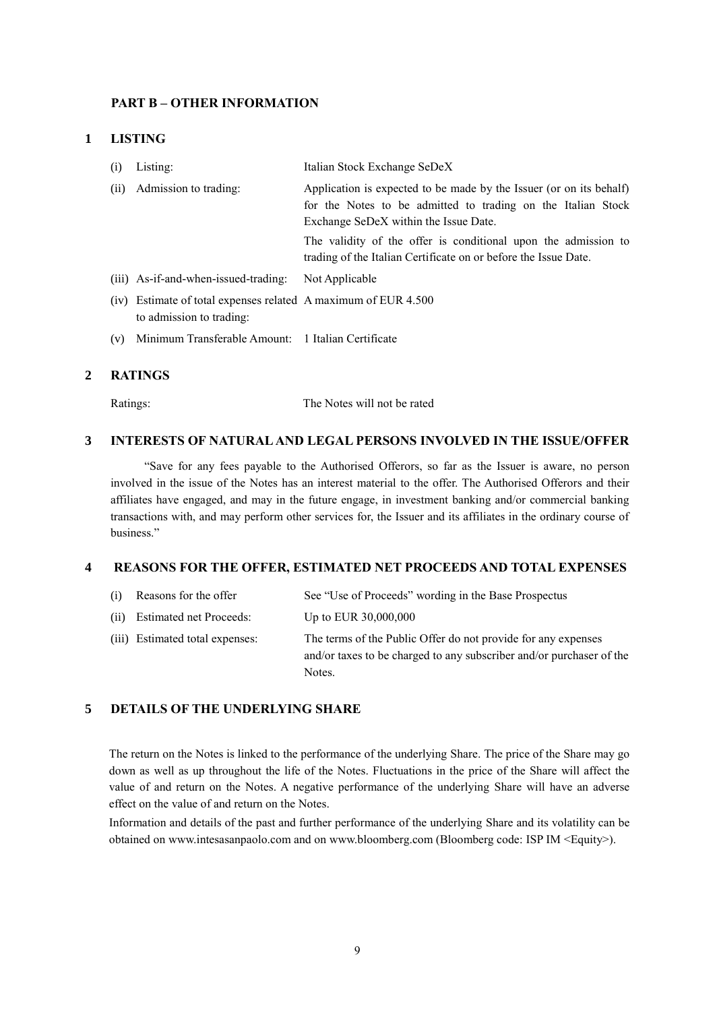#### **PART B – OTHER INFORMATION**

#### **1 LISTING**

| (i)  | Listing:                                                                                   | Italian Stock Exchange SeDeX                                                                                                                                                                                                                                                                                      |
|------|--------------------------------------------------------------------------------------------|-------------------------------------------------------------------------------------------------------------------------------------------------------------------------------------------------------------------------------------------------------------------------------------------------------------------|
| (ii) | Admission to trading:                                                                      | Application is expected to be made by the Issuer (or on its behalf)<br>for the Notes to be admitted to trading on the Italian Stock<br>Exchange SeDeX within the Issue Date.<br>The validity of the offer is conditional upon the admission to<br>trading of the Italian Certificate on or before the Issue Date. |
|      | (iii) As-if-and-when-issued-trading:                                                       | Not Applicable                                                                                                                                                                                                                                                                                                    |
|      | (iv) Estimate of total expenses related A maximum of EUR 4.500<br>to admission to trading: |                                                                                                                                                                                                                                                                                                                   |
| (v)  | Minimum Transferable Amount: 1 Italian Certificate                                         |                                                                                                                                                                                                                                                                                                                   |

#### **2 RATINGS**

Ratings: The Notes will not be rated

### **3 INTERESTS OF NATURAL AND LEGAL PERSONS INVOLVED IN THE ISSUE/OFFER**

"Save for any fees payable to the Authorised Offerors, so far as the Issuer is aware, no person involved in the issue of the Notes has an interest material to the offer. The Authorised Offerors and their affiliates have engaged, and may in the future engage, in investment banking and/or commercial banking transactions with, and may perform other services for, the Issuer and its affiliates in the ordinary course of business."

#### **4 REASONS FOR THE OFFER, ESTIMATED NET PROCEEDS AND TOTAL EXPENSES**

- (i) Reasons for the offer See "Use of Proceeds" wording in the Base Prospectus
- (ii) Estimated net Proceeds: Up to EUR 30,000,000
- (iii) Estimated total expenses: The terms of the Public Offer do not provide for any expenses and/or taxes to be charged to any subscriber and/or purchaser of the Notes.

### **5 DETAILS OF THE UNDERLYING SHARE**

The return on the Notes is linked to the performance of the underlying Share. The price of the Share may go down as well as up throughout the life of the Notes. Fluctuations in the price of the Share will affect the value of and return on the Notes. A negative performance of the underlying Share will have an adverse effect on the value of and return on the Notes.

Information and details of the past and further performance of the underlying Share and its volatility can be obtained on www.intesasanpaolo.com and on www.bloomberg.com (Bloomberg code: ISP IM <Equity>).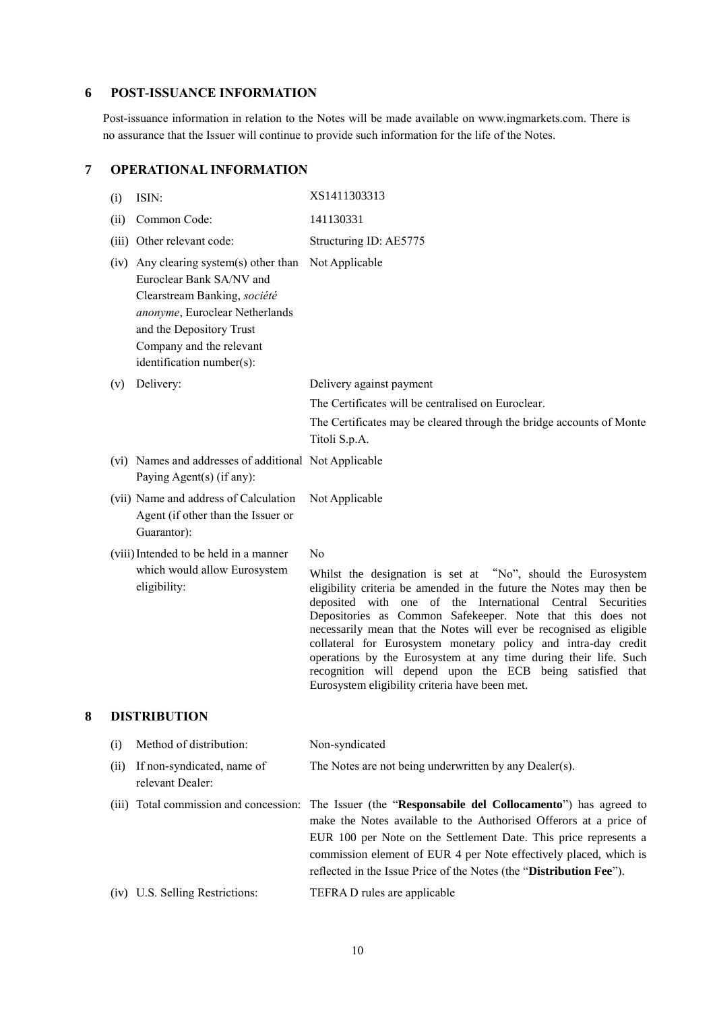# **6 POST-ISSUANCE INFORMATION**

Post-issuance information in relation to the Notes will be made available on www.ingmarkets.com. There is no assurance that the Issuer will continue to provide such information for the life of the Notes.

|   | (i)  | ISIN:                                                                                                                                                                                                                                    | XS1411303313                                                                                                                                                                                                                                                                                                                                                                                                                                                                                                                                                                                |
|---|------|------------------------------------------------------------------------------------------------------------------------------------------------------------------------------------------------------------------------------------------|---------------------------------------------------------------------------------------------------------------------------------------------------------------------------------------------------------------------------------------------------------------------------------------------------------------------------------------------------------------------------------------------------------------------------------------------------------------------------------------------------------------------------------------------------------------------------------------------|
|   | (ii) | Common Code:                                                                                                                                                                                                                             | 141130331                                                                                                                                                                                                                                                                                                                                                                                                                                                                                                                                                                                   |
|   |      | (iii) Other relevant code:                                                                                                                                                                                                               | Structuring ID: AE5775                                                                                                                                                                                                                                                                                                                                                                                                                                                                                                                                                                      |
|   |      | (iv) Any clearing system(s) other than Not Applicable<br>Euroclear Bank SA/NV and<br>Clearstream Banking, société<br>anonyme, Euroclear Netherlands<br>and the Depository Trust<br>Company and the relevant<br>identification number(s): |                                                                                                                                                                                                                                                                                                                                                                                                                                                                                                                                                                                             |
|   | (v)  | Delivery:                                                                                                                                                                                                                                | Delivery against payment                                                                                                                                                                                                                                                                                                                                                                                                                                                                                                                                                                    |
|   |      |                                                                                                                                                                                                                                          | The Certificates will be centralised on Euroclear.                                                                                                                                                                                                                                                                                                                                                                                                                                                                                                                                          |
|   |      |                                                                                                                                                                                                                                          | The Certificates may be cleared through the bridge accounts of Monte<br>Titoli S.p.A.                                                                                                                                                                                                                                                                                                                                                                                                                                                                                                       |
|   |      | (vi) Names and addresses of additional Not Applicable<br>Paying Agent(s) (if any):                                                                                                                                                       |                                                                                                                                                                                                                                                                                                                                                                                                                                                                                                                                                                                             |
|   |      | (vii) Name and address of Calculation<br>Agent (if other than the Issuer or<br>Guarantor):                                                                                                                                               | Not Applicable                                                                                                                                                                                                                                                                                                                                                                                                                                                                                                                                                                              |
|   |      | (viii) Intended to be held in a manner                                                                                                                                                                                                   | N <sub>0</sub>                                                                                                                                                                                                                                                                                                                                                                                                                                                                                                                                                                              |
|   |      | which would allow Eurosystem<br>eligibility:                                                                                                                                                                                             | Whilst the designation is set at "No", should the Eurosystem<br>eligibility criteria be amended in the future the Notes may then be<br>deposited with one of the International Central Securities<br>Depositories as Common Safekeeper. Note that this does not<br>necessarily mean that the Notes will ever be recognised as eligible<br>collateral for Eurosystem monetary policy and intra-day credit<br>operations by the Eurosystem at any time during their life. Such<br>recognition will depend upon the ECB being satisfied that<br>Eurosystem eligibility criteria have been met. |
| 8 |      | <b>DISTRIBUTION</b>                                                                                                                                                                                                                      |                                                                                                                                                                                                                                                                                                                                                                                                                                                                                                                                                                                             |
|   | (i)  | Method of distribution:                                                                                                                                                                                                                  | Non-syndicated                                                                                                                                                                                                                                                                                                                                                                                                                                                                                                                                                                              |
|   | (ii) | If non-syndicated, name of<br>relevant Dealer:                                                                                                                                                                                           | The Notes are not being underwritten by any Dealer(s).                                                                                                                                                                                                                                                                                                                                                                                                                                                                                                                                      |
|   |      |                                                                                                                                                                                                                                          | (iii) Total commission and concession: The Issuer (the "Responsabile del Collocamento") has agreed to<br>make the Notes available to the Authorised Offerors at a price of<br>EUR 100 per Note on the Settlement Date. This price represents a<br>commission element of EUR 4 per Note effectively placed, which is<br>reflected in the Issue Price of the Notes (the "Distribution Fee").                                                                                                                                                                                                  |
|   |      | (iv) U.S. Selling Restrictions:                                                                                                                                                                                                          | TEFRA D rules are applicable                                                                                                                                                                                                                                                                                                                                                                                                                                                                                                                                                                |

### **7 OPERATIONAL INFORMATION**

10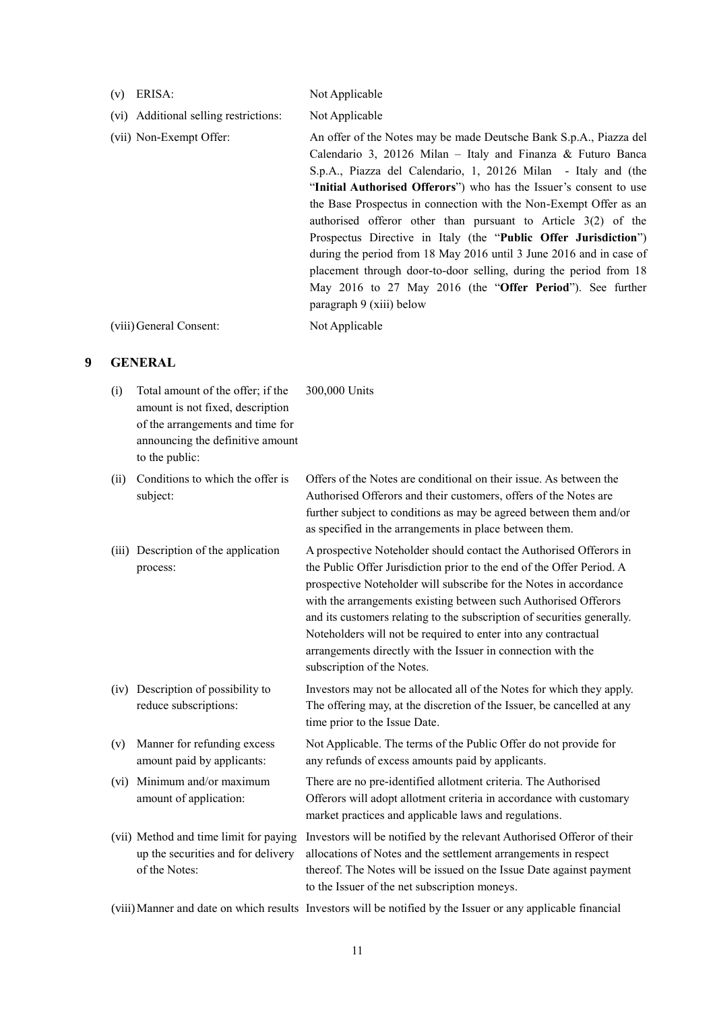- 
- (v) ERISA: Not Applicable
- (vi) Additional selling restrictions: Not Applicable
- (vii) Non-Exempt Offer: An offer of the Notes may be made Deutsche Bank S.p.A., Piazza del Calendario 3, 20126 Milan – Italy and Finanza & Futuro Banca S.p.A., Piazza del Calendario, 1, 20126 Milan - Italy and (the "**Initial Authorised Offerors**") who has the Issuer's consent to use the Base Prospectus in connection with the Non-Exempt Offer as an authorised offeror other than pursuant to Article 3(2) of the Prospectus Directive in Italy (the "**Public Offer Jurisdiction**") during the period from 18 May 2016 until 3 June 2016 and in case of placement through door-to-door selling, during the period from 18 May 2016 to 27 May 2016 (the "**Offer Period**"). See further paragraph 9 (xiii) below (viii)General Consent: Not Applicable

#### **9 GENERAL**

- (i) Total amount of the offer; if the amount is not fixed, description of the arrangements and time for announcing the definitive amount to the public: 300,000 Units
- (ii) Conditions to which the offer is subject:
- (iii) Description of the application process:

- (iv) Description of possibility to reduce subscriptions:
- (v) Manner for refunding excess amount paid by applicants:
- (vi) Minimum and/or maximum amount of application:
- (vii) Method and time limit for paying up the securities and for delivery of the Notes:

Offers of the Notes are conditional on their issue. As between the Authorised Offerors and their customers, offers of the Notes are further subject to conditions as may be agreed between them and/or as specified in the arrangements in place between them.

A prospective Noteholder should contact the Authorised Offerors in the Public Offer Jurisdiction prior to the end of the Offer Period. A prospective Noteholder will subscribe for the Notes in accordance with the arrangements existing between such Authorised Offerors and its customers relating to the subscription of securities generally. Noteholders will not be required to enter into any contractual arrangements directly with the Issuer in connection with the subscription of the Notes.

Investors may not be allocated all of the Notes for which they apply. The offering may, at the discretion of the Issuer, be cancelled at any time prior to the Issue Date.

Not Applicable. The terms of the Public Offer do not provide for any refunds of excess amounts paid by applicants.

There are no pre-identified allotment criteria. The Authorised Offerors will adopt allotment criteria in accordance with customary market practices and applicable laws and regulations.

Investors will be notified by the relevant Authorised Offeror of their allocations of Notes and the settlement arrangements in respect thereof. The Notes will be issued on the Issue Date against payment to the Issuer of the net subscription moneys.

(viii)Manner and date on which results Investors will be notified by the Issuer or any applicable financial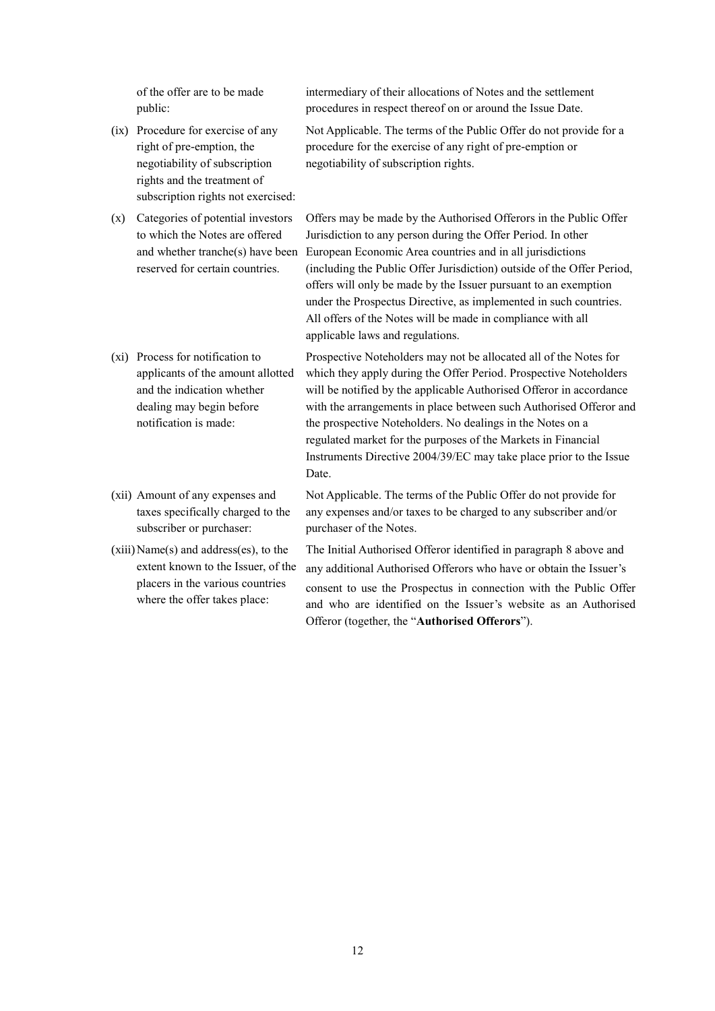of the offer are to be made public:

- (ix) Procedure for exercise of any right of pre-emption, the negotiability of subscription rights and the treatment of subscription rights not exercised:
- (x) Categories of potential investors to which the Notes are offered and whether tranche(s) have been reserved for certain countries.
- (xi) Process for notification to applicants of the amount allotted and the indication whether dealing may begin before notification is made:
- (xii) Amount of any expenses and taxes specifically charged to the subscriber or purchaser:
- $(xiii)$  Name $(s)$  and address $(es)$ , to the extent known to the Issuer, of the placers in the various countries where the offer takes place:

intermediary of their allocations of Notes and the settlement procedures in respect thereof on or around the Issue Date.

Not Applicable. The terms of the Public Offer do not provide for a procedure for the exercise of any right of pre-emption or negotiability of subscription rights.

Offers may be made by the Authorised Offerors in the Public Offer Jurisdiction to any person during the Offer Period. In other European Economic Area countries and in all jurisdictions (including the Public Offer Jurisdiction) outside of the Offer Period, offers will only be made by the Issuer pursuant to an exemption under the Prospectus Directive, as implemented in such countries. All offers of the Notes will be made in compliance with all applicable laws and regulations.

Prospective Noteholders may not be allocated all of the Notes for which they apply during the Offer Period. Prospective Noteholders will be notified by the applicable Authorised Offeror in accordance with the arrangements in place between such Authorised Offeror and the prospective Noteholders. No dealings in the Notes on a regulated market for the purposes of the Markets in Financial Instruments Directive 2004/39/EC may take place prior to the Issue Date.

Not Applicable. The terms of the Public Offer do not provide for any expenses and/or taxes to be charged to any subscriber and/or purchaser of the Notes.

The Initial Authorised Offeror identified in paragraph 8 above and any additional Authorised Offerors who have or obtain the Issuer's consent to use the Prospectus in connection with the Public Offer and who are identified on the Issuer's website as an Authorised Offeror (together, the "**Authorised Offerors**").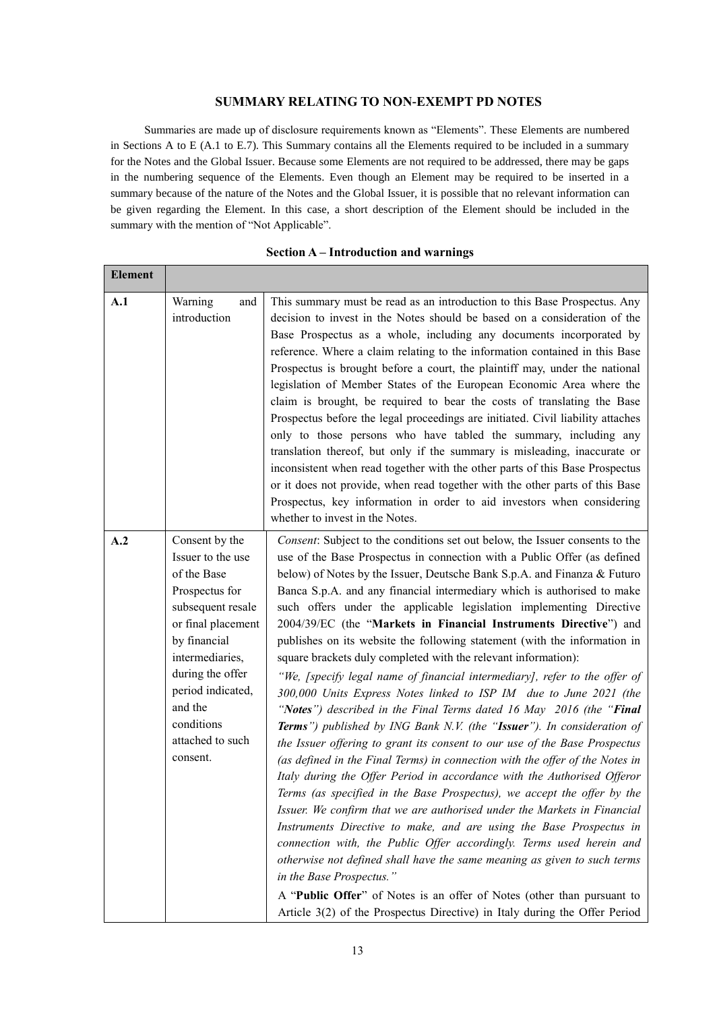### **SUMMARY RELATING TO NON-EXEMPT PD NOTES**

Summaries are made up of disclosure requirements known as "Elements". These Elements are numbered in Sections A to E (A.1 to E.7). This Summary contains all the Elements required to be included in a summary for the Notes and the Global Issuer. Because some Elements are not required to be addressed, there may be gaps in the numbering sequence of the Elements. Even though an Element may be required to be inserted in a summary because of the nature of the Notes and the Global Issuer, it is possible that no relevant information can be given regarding the Element. In this case, a short description of the Element should be included in the summary with the mention of "Not Applicable".

| елешені |                                                                                                                                                                                                                                                      |                                                                                                                                                                                                                                                                                                                                                                                                                                                                                                                                                                                                                                                                                                                                                                                                                                                                                                                                                                                                                                                                                                                                                                                                                                                                                                                                                                                                                                                                                                                                                                                                                                                                                                                                |
|---------|------------------------------------------------------------------------------------------------------------------------------------------------------------------------------------------------------------------------------------------------------|--------------------------------------------------------------------------------------------------------------------------------------------------------------------------------------------------------------------------------------------------------------------------------------------------------------------------------------------------------------------------------------------------------------------------------------------------------------------------------------------------------------------------------------------------------------------------------------------------------------------------------------------------------------------------------------------------------------------------------------------------------------------------------------------------------------------------------------------------------------------------------------------------------------------------------------------------------------------------------------------------------------------------------------------------------------------------------------------------------------------------------------------------------------------------------------------------------------------------------------------------------------------------------------------------------------------------------------------------------------------------------------------------------------------------------------------------------------------------------------------------------------------------------------------------------------------------------------------------------------------------------------------------------------------------------------------------------------------------------|
| A.1     | Warning<br>and<br>introduction                                                                                                                                                                                                                       | This summary must be read as an introduction to this Base Prospectus. Any<br>decision to invest in the Notes should be based on a consideration of the<br>Base Prospectus as a whole, including any documents incorporated by<br>reference. Where a claim relating to the information contained in this Base<br>Prospectus is brought before a court, the plaintiff may, under the national<br>legislation of Member States of the European Economic Area where the<br>claim is brought, be required to bear the costs of translating the Base<br>Prospectus before the legal proceedings are initiated. Civil liability attaches<br>only to those persons who have tabled the summary, including any<br>translation thereof, but only if the summary is misleading, inaccurate or<br>inconsistent when read together with the other parts of this Base Prospectus<br>or it does not provide, when read together with the other parts of this Base<br>Prospectus, key information in order to aid investors when considering<br>whether to invest in the Notes.                                                                                                                                                                                                                                                                                                                                                                                                                                                                                                                                                                                                                                                                |
| A.2     | Consent by the<br>Issuer to the use<br>of the Base<br>Prospectus for<br>subsequent resale<br>or final placement<br>by financial<br>intermediaries,<br>during the offer<br>period indicated,<br>and the<br>conditions<br>attached to such<br>consent. | Consent: Subject to the conditions set out below, the Issuer consents to the<br>use of the Base Prospectus in connection with a Public Offer (as defined<br>below) of Notes by the Issuer, Deutsche Bank S.p.A. and Finanza & Futuro<br>Banca S.p.A. and any financial intermediary which is authorised to make<br>such offers under the applicable legislation implementing Directive<br>2004/39/EC (the "Markets in Financial Instruments Directive") and<br>publishes on its website the following statement (with the information in<br>square brackets duly completed with the relevant information):<br>"We, [specify legal name of financial intermediary], refer to the offer of<br>300,000 Units Express Notes linked to ISP IM due to June 2021 (the<br>"Notes") described in the Final Terms dated 16 May 2016 (the "Final<br>Terms") published by ING Bank N.V. (the "Issuer"). In consideration of<br>the Issuer offering to grant its consent to our use of the Base Prospectus<br>(as defined in the Final Terms) in connection with the offer of the Notes in<br>Italy during the Offer Period in accordance with the Authorised Offeror<br>Terms (as specified in the Base Prospectus), we accept the offer by the<br>Issuer. We confirm that we are authorised under the Markets in Financial<br>Instruments Directive to make, and are using the Base Prospectus in<br>connection with, the Public Offer accordingly. Terms used herein and<br>otherwise not defined shall have the same meaning as given to such terms<br>in the Base Prospectus."<br>A "Public Offer" of Notes is an offer of Notes (other than pursuant to<br>Article 3(2) of the Prospectus Directive) in Italy during the Offer Period |

#### **Section A – Introduction and warnings**

**Element**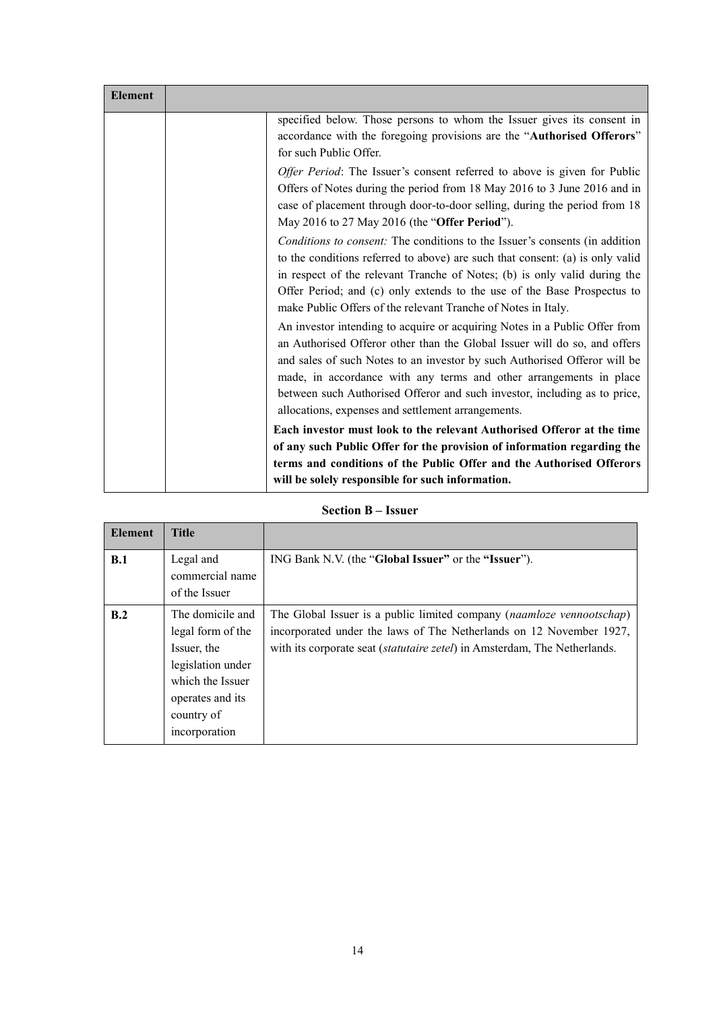| <b>Element</b> |                                                                                                                                                                                                                                                                                                                                                                                                                                               |
|----------------|-----------------------------------------------------------------------------------------------------------------------------------------------------------------------------------------------------------------------------------------------------------------------------------------------------------------------------------------------------------------------------------------------------------------------------------------------|
|                | specified below. Those persons to whom the Issuer gives its consent in<br>accordance with the foregoing provisions are the "Authorised Offerors"<br>for such Public Offer.                                                                                                                                                                                                                                                                    |
|                | Offer Period: The Issuer's consent referred to above is given for Public<br>Offers of Notes during the period from 18 May 2016 to 3 June 2016 and in<br>case of placement through door-to-door selling, during the period from 18<br>May 2016 to 27 May 2016 (the "Offer Period").                                                                                                                                                            |
|                | Conditions to consent: The conditions to the Issuer's consents (in addition<br>to the conditions referred to above) are such that consent: (a) is only valid<br>in respect of the relevant Tranche of Notes; (b) is only valid during the<br>Offer Period; and (c) only extends to the use of the Base Prospectus to<br>make Public Offers of the relevant Tranche of Notes in Italy.                                                         |
|                | An investor intending to acquire or acquiring Notes in a Public Offer from<br>an Authorised Offeror other than the Global Issuer will do so, and offers<br>and sales of such Notes to an investor by such Authorised Offeror will be<br>made, in accordance with any terms and other arrangements in place<br>between such Authorised Offeror and such investor, including as to price,<br>allocations, expenses and settlement arrangements. |
|                | Each investor must look to the relevant Authorised Offeror at the time<br>of any such Public Offer for the provision of information regarding the                                                                                                                                                                                                                                                                                             |
|                | terms and conditions of the Public Offer and the Authorised Offerors<br>will be solely responsible for such information.                                                                                                                                                                                                                                                                                                                      |

# **Section B – Issuer**

| <b>Element</b> | <b>Title</b>                                                                                                                                     |                                                                                                                                                                                                                                    |
|----------------|--------------------------------------------------------------------------------------------------------------------------------------------------|------------------------------------------------------------------------------------------------------------------------------------------------------------------------------------------------------------------------------------|
| B.1            | Legal and<br>commercial name<br>of the Issuer                                                                                                    | ING Bank N.V. (the "Global Issuer" or the "Issuer").                                                                                                                                                                               |
| B.2            | The domicile and<br>legal form of the<br>Issuer, the<br>legislation under<br>which the Issuer<br>operates and its<br>country of<br>incorporation | The Global Issuer is a public limited company (naamloze vennootschap)<br>incorporated under the laws of The Netherlands on 12 November 1927,<br>with its corporate seat ( <i>statutaire zetel</i> ) in Amsterdam, The Netherlands. |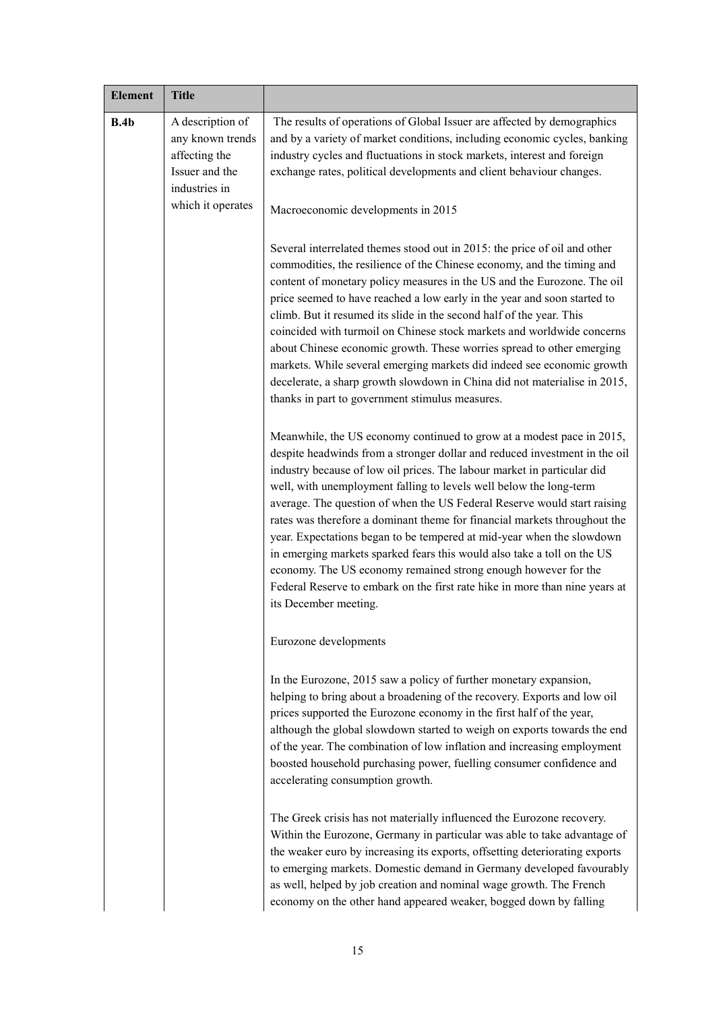| <b>Element</b> | <b>Title</b>                                     |                                                                                                                                                                                                                                                                                                                                                                                                                                                                                                                                                                                                                                                                                                                                                                                             |
|----------------|--------------------------------------------------|---------------------------------------------------------------------------------------------------------------------------------------------------------------------------------------------------------------------------------------------------------------------------------------------------------------------------------------------------------------------------------------------------------------------------------------------------------------------------------------------------------------------------------------------------------------------------------------------------------------------------------------------------------------------------------------------------------------------------------------------------------------------------------------------|
| B.4b           | A description of<br>any known trends             | The results of operations of Global Issuer are affected by demographics<br>and by a variety of market conditions, including economic cycles, banking                                                                                                                                                                                                                                                                                                                                                                                                                                                                                                                                                                                                                                        |
|                | affecting the<br>Issuer and the<br>industries in | industry cycles and fluctuations in stock markets, interest and foreign<br>exchange rates, political developments and client behaviour changes.                                                                                                                                                                                                                                                                                                                                                                                                                                                                                                                                                                                                                                             |
|                | which it operates                                | Macroeconomic developments in 2015                                                                                                                                                                                                                                                                                                                                                                                                                                                                                                                                                                                                                                                                                                                                                          |
|                |                                                  | Several interrelated themes stood out in 2015: the price of oil and other<br>commodities, the resilience of the Chinese economy, and the timing and<br>content of monetary policy measures in the US and the Eurozone. The oil<br>price seemed to have reached a low early in the year and soon started to<br>climb. But it resumed its slide in the second half of the year. This<br>coincided with turmoil on Chinese stock markets and worldwide concerns<br>about Chinese economic growth. These worries spread to other emerging<br>markets. While several emerging markets did indeed see economic growth<br>decelerate, a sharp growth slowdown in China did not materialise in 2015,<br>thanks in part to government stimulus measures.                                             |
|                |                                                  | Meanwhile, the US economy continued to grow at a modest pace in 2015,<br>despite headwinds from a stronger dollar and reduced investment in the oil<br>industry because of low oil prices. The labour market in particular did<br>well, with unemployment falling to levels well below the long-term<br>average. The question of when the US Federal Reserve would start raising<br>rates was therefore a dominant theme for financial markets throughout the<br>year. Expectations began to be tempered at mid-year when the slowdown<br>in emerging markets sparked fears this would also take a toll on the US<br>economy. The US economy remained strong enough however for the<br>Federal Reserve to embark on the first rate hike in more than nine years at<br>its December meeting. |
|                |                                                  | Eurozone developments                                                                                                                                                                                                                                                                                                                                                                                                                                                                                                                                                                                                                                                                                                                                                                       |
|                |                                                  | In the Eurozone, 2015 saw a policy of further monetary expansion,<br>helping to bring about a broadening of the recovery. Exports and low oil<br>prices supported the Eurozone economy in the first half of the year,<br>although the global slowdown started to weigh on exports towards the end<br>of the year. The combination of low inflation and increasing employment<br>boosted household purchasing power, fuelling consumer confidence and<br>accelerating consumption growth.                                                                                                                                                                                                                                                                                                    |
|                |                                                  | The Greek crisis has not materially influenced the Eurozone recovery.<br>Within the Eurozone, Germany in particular was able to take advantage of<br>the weaker euro by increasing its exports, offsetting deteriorating exports<br>to emerging markets. Domestic demand in Germany developed favourably<br>as well, helped by job creation and nominal wage growth. The French<br>economy on the other hand appeared weaker, bogged down by falling                                                                                                                                                                                                                                                                                                                                        |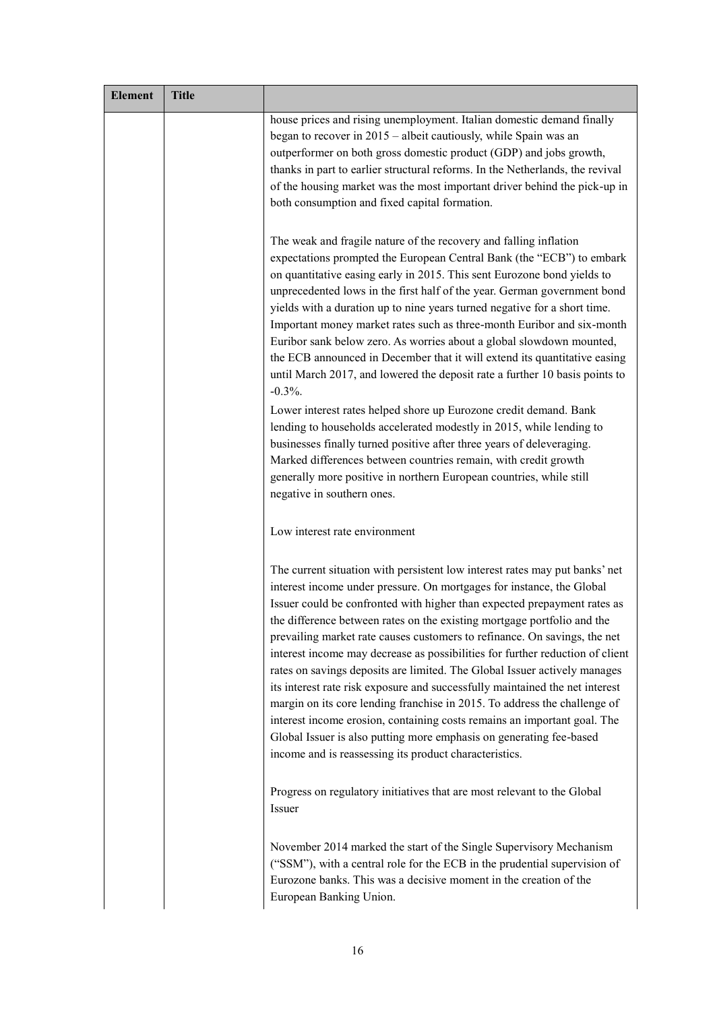| <b>Element</b> | <b>Title</b> |                                                                                                                                                                                                                                                                                                                                                                                                                                                                                                                                                                                                                                                                                                                                                                                                                                                                                                                                  |
|----------------|--------------|----------------------------------------------------------------------------------------------------------------------------------------------------------------------------------------------------------------------------------------------------------------------------------------------------------------------------------------------------------------------------------------------------------------------------------------------------------------------------------------------------------------------------------------------------------------------------------------------------------------------------------------------------------------------------------------------------------------------------------------------------------------------------------------------------------------------------------------------------------------------------------------------------------------------------------|
|                |              | house prices and rising unemployment. Italian domestic demand finally<br>began to recover in 2015 – albeit cautiously, while Spain was an<br>outperformer on both gross domestic product (GDP) and jobs growth,<br>thanks in part to earlier structural reforms. In the Netherlands, the revival<br>of the housing market was the most important driver behind the pick-up in<br>both consumption and fixed capital formation.                                                                                                                                                                                                                                                                                                                                                                                                                                                                                                   |
|                |              | The weak and fragile nature of the recovery and falling inflation<br>expectations prompted the European Central Bank (the "ECB") to embark<br>on quantitative easing early in 2015. This sent Eurozone bond yields to<br>unprecedented lows in the first half of the year. German government bond<br>yields with a duration up to nine years turned negative for a short time.<br>Important money market rates such as three-month Euribor and six-month<br>Euribor sank below zero. As worries about a global slowdown mounted,<br>the ECB announced in December that it will extend its quantitative easing<br>until March 2017, and lowered the deposit rate a further 10 basis points to<br>$-0.3%$ .                                                                                                                                                                                                                        |
|                |              | Lower interest rates helped shore up Eurozone credit demand. Bank<br>lending to households accelerated modestly in 2015, while lending to<br>businesses finally turned positive after three years of deleveraging.<br>Marked differences between countries remain, with credit growth<br>generally more positive in northern European countries, while still<br>negative in southern ones.                                                                                                                                                                                                                                                                                                                                                                                                                                                                                                                                       |
|                |              | Low interest rate environment                                                                                                                                                                                                                                                                                                                                                                                                                                                                                                                                                                                                                                                                                                                                                                                                                                                                                                    |
|                |              | The current situation with persistent low interest rates may put banks' net<br>interest income under pressure. On mortgages for instance, the Global<br>Issuer could be confronted with higher than expected prepayment rates as<br>the difference between rates on the existing mortgage portfolio and the<br>prevailing market rate causes customers to refinance. On savings, the net<br>interest income may decrease as possibilities for further reduction of client<br>rates on savings deposits are limited. The Global Issuer actively manages<br>its interest rate risk exposure and successfully maintained the net interest<br>margin on its core lending franchise in 2015. To address the challenge of<br>interest income erosion, containing costs remains an important goal. The<br>Global Issuer is also putting more emphasis on generating fee-based<br>income and is reassessing its product characteristics. |
|                |              | Progress on regulatory initiatives that are most relevant to the Global<br>Issuer                                                                                                                                                                                                                                                                                                                                                                                                                                                                                                                                                                                                                                                                                                                                                                                                                                                |
|                |              | November 2014 marked the start of the Single Supervisory Mechanism<br>("SSM"), with a central role for the ECB in the prudential supervision of<br>Eurozone banks. This was a decisive moment in the creation of the<br>European Banking Union.                                                                                                                                                                                                                                                                                                                                                                                                                                                                                                                                                                                                                                                                                  |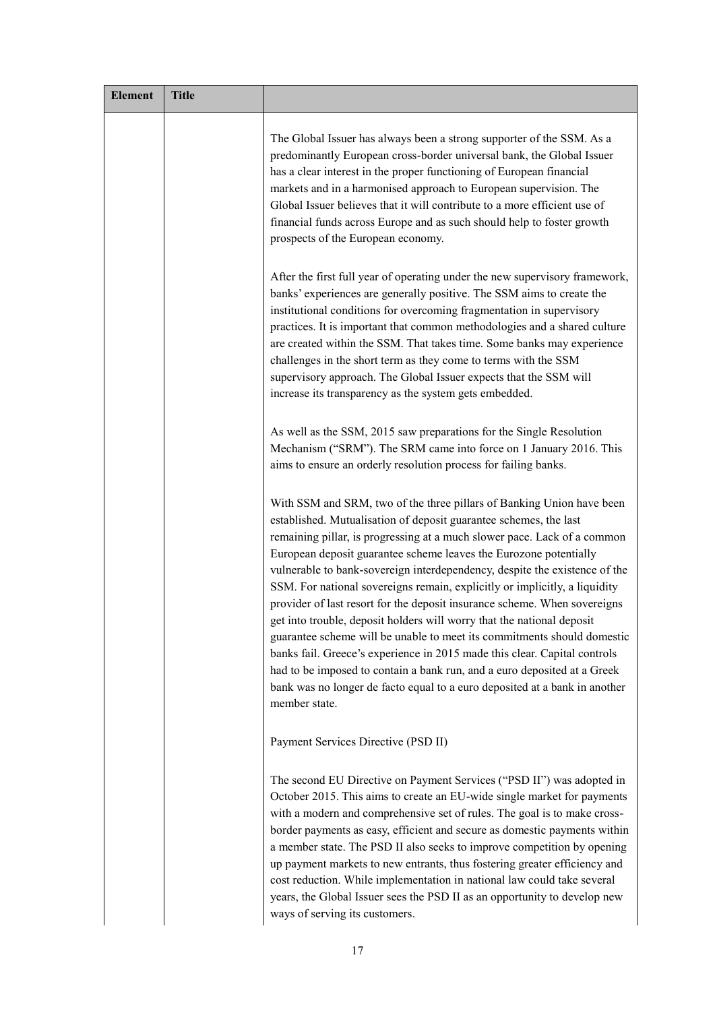| <b>Element</b> | <b>Title</b> |                                                                                                                                                                                                                                                                                                                                                                                                                                                                                                                                                                                                                                                                                                                                                                                                                                                                                                                                                   |
|----------------|--------------|---------------------------------------------------------------------------------------------------------------------------------------------------------------------------------------------------------------------------------------------------------------------------------------------------------------------------------------------------------------------------------------------------------------------------------------------------------------------------------------------------------------------------------------------------------------------------------------------------------------------------------------------------------------------------------------------------------------------------------------------------------------------------------------------------------------------------------------------------------------------------------------------------------------------------------------------------|
|                |              | The Global Issuer has always been a strong supporter of the SSM. As a<br>predominantly European cross-border universal bank, the Global Issuer<br>has a clear interest in the proper functioning of European financial<br>markets and in a harmonised approach to European supervision. The<br>Global Issuer believes that it will contribute to a more efficient use of<br>financial funds across Europe and as such should help to foster growth<br>prospects of the European economy.                                                                                                                                                                                                                                                                                                                                                                                                                                                          |
|                |              | After the first full year of operating under the new supervisory framework,<br>banks' experiences are generally positive. The SSM aims to create the<br>institutional conditions for overcoming fragmentation in supervisory<br>practices. It is important that common methodologies and a shared culture<br>are created within the SSM. That takes time. Some banks may experience<br>challenges in the short term as they come to terms with the SSM<br>supervisory approach. The Global Issuer expects that the SSM will<br>increase its transparency as the system gets embedded.                                                                                                                                                                                                                                                                                                                                                             |
|                |              | As well as the SSM, 2015 saw preparations for the Single Resolution<br>Mechanism ("SRM"). The SRM came into force on 1 January 2016. This<br>aims to ensure an orderly resolution process for failing banks.                                                                                                                                                                                                                                                                                                                                                                                                                                                                                                                                                                                                                                                                                                                                      |
|                |              | With SSM and SRM, two of the three pillars of Banking Union have been<br>established. Mutualisation of deposit guarantee schemes, the last<br>remaining pillar, is progressing at a much slower pace. Lack of a common<br>European deposit guarantee scheme leaves the Eurozone potentially<br>vulnerable to bank-sovereign interdependency, despite the existence of the<br>SSM. For national sovereigns remain, explicitly or implicitly, a liquidity<br>provider of last resort for the deposit insurance scheme. When sovereigns<br>get into trouble, deposit holders will worry that the national deposit<br>guarantee scheme will be unable to meet its commitments should domestic<br>banks fail. Greece's experience in 2015 made this clear. Capital controls<br>had to be imposed to contain a bank run, and a euro deposited at a Greek<br>bank was no longer de facto equal to a euro deposited at a bank in another<br>member state. |
|                |              | Payment Services Directive (PSD II)                                                                                                                                                                                                                                                                                                                                                                                                                                                                                                                                                                                                                                                                                                                                                                                                                                                                                                               |
|                |              | The second EU Directive on Payment Services ("PSD II") was adopted in<br>October 2015. This aims to create an EU-wide single market for payments<br>with a modern and comprehensive set of rules. The goal is to make cross-<br>border payments as easy, efficient and secure as domestic payments within<br>a member state. The PSD II also seeks to improve competition by opening<br>up payment markets to new entrants, thus fostering greater efficiency and<br>cost reduction. While implementation in national law could take several<br>years, the Global Issuer sees the PSD II as an opportunity to develop new<br>ways of serving its customers.                                                                                                                                                                                                                                                                                       |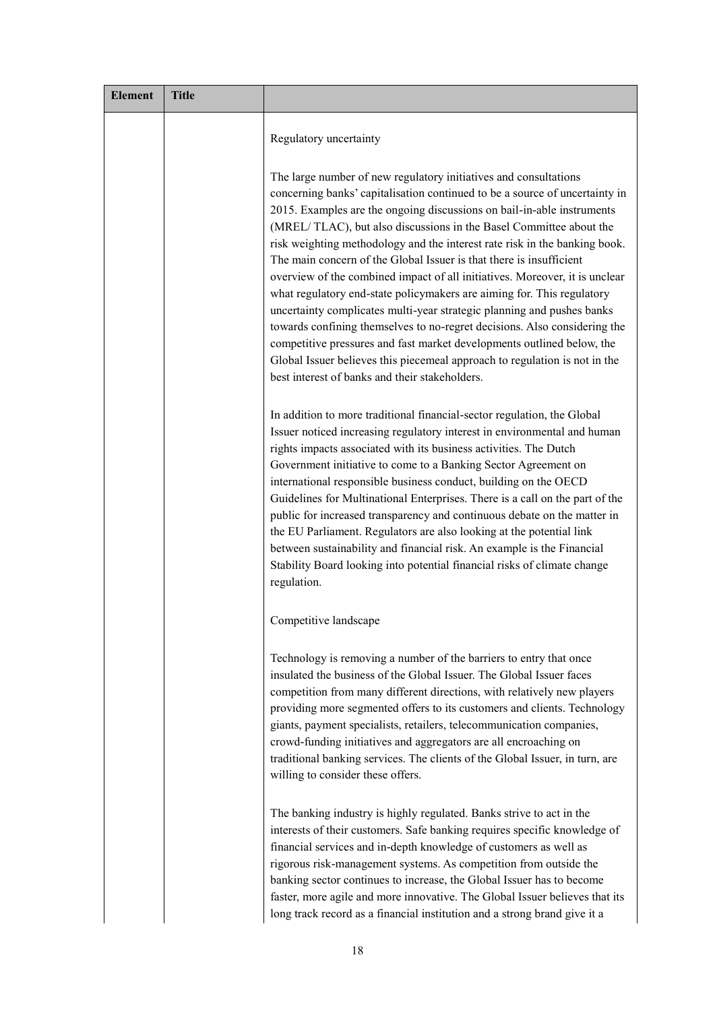| <b>Element</b> | <b>Title</b> |                                                                                                                                                                                                                                                                                                                                                                                                                                                                                                                                                                                                                                                                                                                                                                                                                                                                                                                                                                                |
|----------------|--------------|--------------------------------------------------------------------------------------------------------------------------------------------------------------------------------------------------------------------------------------------------------------------------------------------------------------------------------------------------------------------------------------------------------------------------------------------------------------------------------------------------------------------------------------------------------------------------------------------------------------------------------------------------------------------------------------------------------------------------------------------------------------------------------------------------------------------------------------------------------------------------------------------------------------------------------------------------------------------------------|
|                |              | Regulatory uncertainty                                                                                                                                                                                                                                                                                                                                                                                                                                                                                                                                                                                                                                                                                                                                                                                                                                                                                                                                                         |
|                |              | The large number of new regulatory initiatives and consultations<br>concerning banks' capitalisation continued to be a source of uncertainty in<br>2015. Examples are the ongoing discussions on bail-in-able instruments<br>(MREL/TLAC), but also discussions in the Basel Committee about the<br>risk weighting methodology and the interest rate risk in the banking book.<br>The main concern of the Global Issuer is that there is insufficient<br>overview of the combined impact of all initiatives. Moreover, it is unclear<br>what regulatory end-state policymakers are aiming for. This regulatory<br>uncertainty complicates multi-year strategic planning and pushes banks<br>towards confining themselves to no-regret decisions. Also considering the<br>competitive pressures and fast market developments outlined below, the<br>Global Issuer believes this piecemeal approach to regulation is not in the<br>best interest of banks and their stakeholders. |
|                |              | In addition to more traditional financial-sector regulation, the Global<br>Issuer noticed increasing regulatory interest in environmental and human<br>rights impacts associated with its business activities. The Dutch<br>Government initiative to come to a Banking Sector Agreement on<br>international responsible business conduct, building on the OECD<br>Guidelines for Multinational Enterprises. There is a call on the part of the<br>public for increased transparency and continuous debate on the matter in<br>the EU Parliament. Regulators are also looking at the potential link<br>between sustainability and financial risk. An example is the Financial<br>Stability Board looking into potential financial risks of climate change<br>regulation.                                                                                                                                                                                                        |
|                |              | Competitive landscape                                                                                                                                                                                                                                                                                                                                                                                                                                                                                                                                                                                                                                                                                                                                                                                                                                                                                                                                                          |
|                |              | Technology is removing a number of the barriers to entry that once<br>insulated the business of the Global Issuer. The Global Issuer faces<br>competition from many different directions, with relatively new players<br>providing more segmented offers to its customers and clients. Technology<br>giants, payment specialists, retailers, telecommunication companies,<br>crowd-funding initiatives and aggregators are all encroaching on<br>traditional banking services. The clients of the Global Issuer, in turn, are<br>willing to consider these offers.                                                                                                                                                                                                                                                                                                                                                                                                             |
|                |              | The banking industry is highly regulated. Banks strive to act in the<br>interests of their customers. Safe banking requires specific knowledge of<br>financial services and in-depth knowledge of customers as well as<br>rigorous risk-management systems. As competition from outside the<br>banking sector continues to increase, the Global Issuer has to become<br>faster, more agile and more innovative. The Global Issuer believes that its<br>long track record as a financial institution and a strong brand give it a                                                                                                                                                                                                                                                                                                                                                                                                                                               |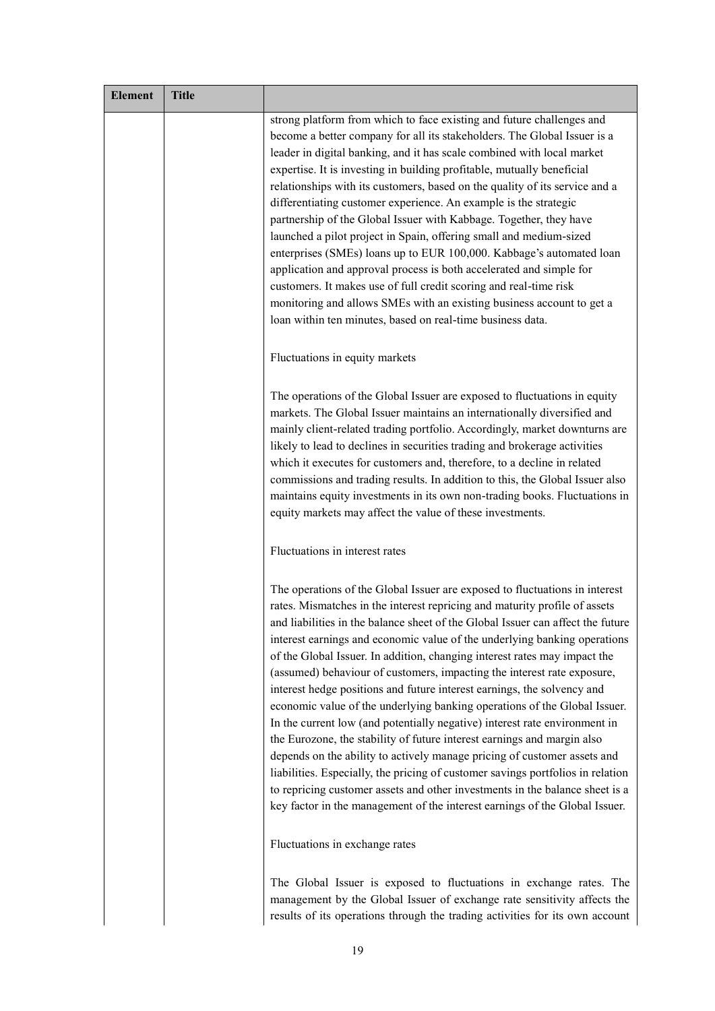| <b>Element</b> | <b>Title</b> |                                                                                                                                                                                                                                                                                                                                                                                                                                                                                                                                                                                                                                                                                                                                                                                                                                                                                                                                                                                                                                                                                                                                  |
|----------------|--------------|----------------------------------------------------------------------------------------------------------------------------------------------------------------------------------------------------------------------------------------------------------------------------------------------------------------------------------------------------------------------------------------------------------------------------------------------------------------------------------------------------------------------------------------------------------------------------------------------------------------------------------------------------------------------------------------------------------------------------------------------------------------------------------------------------------------------------------------------------------------------------------------------------------------------------------------------------------------------------------------------------------------------------------------------------------------------------------------------------------------------------------|
|                |              | strong platform from which to face existing and future challenges and<br>become a better company for all its stakeholders. The Global Issuer is a<br>leader in digital banking, and it has scale combined with local market<br>expertise. It is investing in building profitable, mutually beneficial<br>relationships with its customers, based on the quality of its service and a<br>differentiating customer experience. An example is the strategic<br>partnership of the Global Issuer with Kabbage. Together, they have<br>launched a pilot project in Spain, offering small and medium-sized<br>enterprises (SMEs) loans up to EUR 100,000. Kabbage's automated loan<br>application and approval process is both accelerated and simple for<br>customers. It makes use of full credit scoring and real-time risk<br>monitoring and allows SMEs with an existing business account to get a<br>loan within ten minutes, based on real-time business data.                                                                                                                                                                  |
|                |              | Fluctuations in equity markets                                                                                                                                                                                                                                                                                                                                                                                                                                                                                                                                                                                                                                                                                                                                                                                                                                                                                                                                                                                                                                                                                                   |
|                |              | The operations of the Global Issuer are exposed to fluctuations in equity<br>markets. The Global Issuer maintains an internationally diversified and<br>mainly client-related trading portfolio. Accordingly, market downturns are<br>likely to lead to declines in securities trading and brokerage activities<br>which it executes for customers and, therefore, to a decline in related<br>commissions and trading results. In addition to this, the Global Issuer also<br>maintains equity investments in its own non-trading books. Fluctuations in<br>equity markets may affect the value of these investments.                                                                                                                                                                                                                                                                                                                                                                                                                                                                                                            |
|                |              | Fluctuations in interest rates                                                                                                                                                                                                                                                                                                                                                                                                                                                                                                                                                                                                                                                                                                                                                                                                                                                                                                                                                                                                                                                                                                   |
|                |              | The operations of the Global Issuer are exposed to fluctuations in interest<br>rates. Mismatches in the interest repricing and maturity profile of assets<br>and liabilities in the balance sheet of the Global Issuer can affect the future<br>interest earnings and economic value of the underlying banking operations<br>of the Global Issuer. In addition, changing interest rates may impact the<br>(assumed) behaviour of customers, impacting the interest rate exposure,<br>interest hedge positions and future interest earnings, the solvency and<br>economic value of the underlying banking operations of the Global Issuer.<br>In the current low (and potentially negative) interest rate environment in<br>the Eurozone, the stability of future interest earnings and margin also<br>depends on the ability to actively manage pricing of customer assets and<br>liabilities. Especially, the pricing of customer savings portfolios in relation<br>to repricing customer assets and other investments in the balance sheet is a<br>key factor in the management of the interest earnings of the Global Issuer. |
|                |              | Fluctuations in exchange rates                                                                                                                                                                                                                                                                                                                                                                                                                                                                                                                                                                                                                                                                                                                                                                                                                                                                                                                                                                                                                                                                                                   |
|                |              | The Global Issuer is exposed to fluctuations in exchange rates. The                                                                                                                                                                                                                                                                                                                                                                                                                                                                                                                                                                                                                                                                                                                                                                                                                                                                                                                                                                                                                                                              |

management by the Global Issuer of exchange rate sensitivity affects the results of its operations through the trading activities for its own account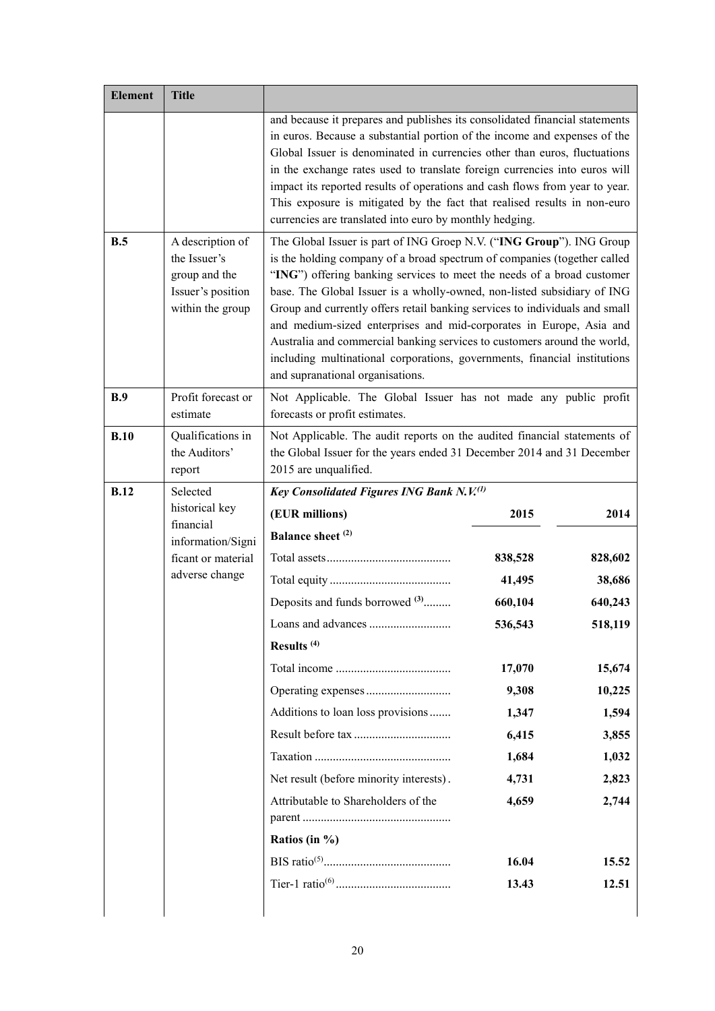| <b>Element</b> | <b>Title</b>                                                                               |                                                                                                                                                                                                                                                                                                                                                                                                                                                                                                                                                                                                                                                          |         |         |
|----------------|--------------------------------------------------------------------------------------------|----------------------------------------------------------------------------------------------------------------------------------------------------------------------------------------------------------------------------------------------------------------------------------------------------------------------------------------------------------------------------------------------------------------------------------------------------------------------------------------------------------------------------------------------------------------------------------------------------------------------------------------------------------|---------|---------|
|                |                                                                                            | and because it prepares and publishes its consolidated financial statements                                                                                                                                                                                                                                                                                                                                                                                                                                                                                                                                                                              |         |         |
|                |                                                                                            | in euros. Because a substantial portion of the income and expenses of the                                                                                                                                                                                                                                                                                                                                                                                                                                                                                                                                                                                |         |         |
|                |                                                                                            | Global Issuer is denominated in currencies other than euros, fluctuations<br>in the exchange rates used to translate foreign currencies into euros will                                                                                                                                                                                                                                                                                                                                                                                                                                                                                                  |         |         |
|                |                                                                                            | impact its reported results of operations and cash flows from year to year.                                                                                                                                                                                                                                                                                                                                                                                                                                                                                                                                                                              |         |         |
|                |                                                                                            | This exposure is mitigated by the fact that realised results in non-euro                                                                                                                                                                                                                                                                                                                                                                                                                                                                                                                                                                                 |         |         |
|                |                                                                                            | currencies are translated into euro by monthly hedging.                                                                                                                                                                                                                                                                                                                                                                                                                                                                                                                                                                                                  |         |         |
| B.5            | A description of<br>the Issuer's<br>group and the<br>Issuer's position<br>within the group | The Global Issuer is part of ING Groep N.V. ("ING Group"). ING Group<br>is the holding company of a broad spectrum of companies (together called<br>"ING") offering banking services to meet the needs of a broad customer<br>base. The Global Issuer is a wholly-owned, non-listed subsidiary of ING<br>Group and currently offers retail banking services to individuals and small<br>and medium-sized enterprises and mid-corporates in Europe, Asia and<br>Australia and commercial banking services to customers around the world,<br>including multinational corporations, governments, financial institutions<br>and supranational organisations. |         |         |
| B.9            | Profit forecast or<br>estimate                                                             | Not Applicable. The Global Issuer has not made any public profit<br>forecasts or profit estimates.                                                                                                                                                                                                                                                                                                                                                                                                                                                                                                                                                       |         |         |
| B.10           | Qualifications in<br>the Auditors'<br>report                                               | Not Applicable. The audit reports on the audited financial statements of<br>the Global Issuer for the years ended 31 December 2014 and 31 December<br>2015 are unqualified.                                                                                                                                                                                                                                                                                                                                                                                                                                                                              |         |         |
| <b>B.12</b>    | Selected<br>historical key<br>financial                                                    | Key Consolidated Figures ING Bank N.V.(1)                                                                                                                                                                                                                                                                                                                                                                                                                                                                                                                                                                                                                |         |         |
|                |                                                                                            | (EUR millions)                                                                                                                                                                                                                                                                                                                                                                                                                                                                                                                                                                                                                                           | 2015    | 2014    |
|                | information/Signi                                                                          | Balance sheet <sup>(2)</sup>                                                                                                                                                                                                                                                                                                                                                                                                                                                                                                                                                                                                                             |         |         |
|                | ficant or material                                                                         |                                                                                                                                                                                                                                                                                                                                                                                                                                                                                                                                                                                                                                                          | 838,528 | 828,602 |
|                | adverse change                                                                             |                                                                                                                                                                                                                                                                                                                                                                                                                                                                                                                                                                                                                                                          | 41,495  | 38,686  |
|                |                                                                                            | Deposits and funds borrowed <sup>(3)</sup>                                                                                                                                                                                                                                                                                                                                                                                                                                                                                                                                                                                                               | 660,104 | 640,243 |
|                |                                                                                            |                                                                                                                                                                                                                                                                                                                                                                                                                                                                                                                                                                                                                                                          | 536,543 | 518,119 |
|                |                                                                                            | Results <sup>(4)</sup>                                                                                                                                                                                                                                                                                                                                                                                                                                                                                                                                                                                                                                   |         |         |
|                |                                                                                            |                                                                                                                                                                                                                                                                                                                                                                                                                                                                                                                                                                                                                                                          | 17,070  | 15,674  |
|                |                                                                                            |                                                                                                                                                                                                                                                                                                                                                                                                                                                                                                                                                                                                                                                          | 9,308   | 10,225  |
|                |                                                                                            | Additions to loan loss provisions                                                                                                                                                                                                                                                                                                                                                                                                                                                                                                                                                                                                                        | 1,347   | 1,594   |
|                |                                                                                            |                                                                                                                                                                                                                                                                                                                                                                                                                                                                                                                                                                                                                                                          | 6,415   | 3,855   |
|                |                                                                                            |                                                                                                                                                                                                                                                                                                                                                                                                                                                                                                                                                                                                                                                          | 1,684   | 1,032   |
|                |                                                                                            | Net result (before minority interests).                                                                                                                                                                                                                                                                                                                                                                                                                                                                                                                                                                                                                  | 4,731   | 2,823   |
|                |                                                                                            | Attributable to Shareholders of the                                                                                                                                                                                                                                                                                                                                                                                                                                                                                                                                                                                                                      | 4,659   | 2,744   |
|                |                                                                                            |                                                                                                                                                                                                                                                                                                                                                                                                                                                                                                                                                                                                                                                          |         |         |
|                |                                                                                            | Ratios (in $\%$ )                                                                                                                                                                                                                                                                                                                                                                                                                                                                                                                                                                                                                                        |         |         |
|                |                                                                                            |                                                                                                                                                                                                                                                                                                                                                                                                                                                                                                                                                                                                                                                          | 16.04   | 15.52   |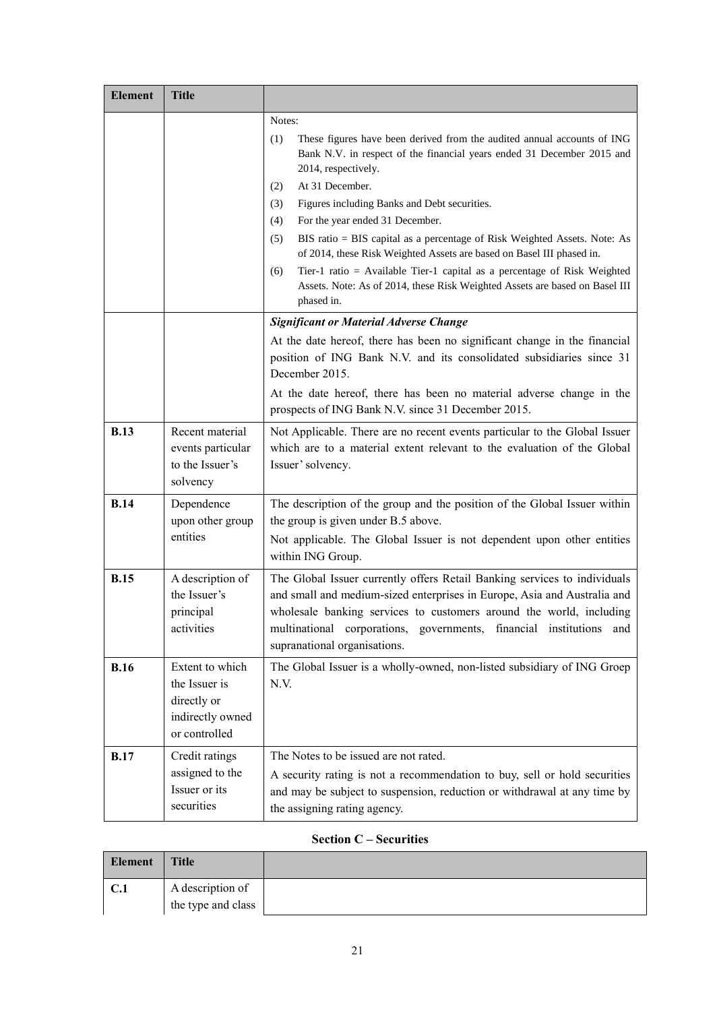| <b>Element</b> | <b>Title</b>                                                                         |                                                                                                                                                                                                                                                                                                                                                                                                                                                                                                                                                                                                                                                                   |  |
|----------------|--------------------------------------------------------------------------------------|-------------------------------------------------------------------------------------------------------------------------------------------------------------------------------------------------------------------------------------------------------------------------------------------------------------------------------------------------------------------------------------------------------------------------------------------------------------------------------------------------------------------------------------------------------------------------------------------------------------------------------------------------------------------|--|
|                |                                                                                      | Notes:<br>These figures have been derived from the audited annual accounts of ING<br>(1)<br>Bank N.V. in respect of the financial years ended 31 December 2015 and<br>2014, respectively.<br>At 31 December.<br>(2)<br>(3)<br>Figures including Banks and Debt securities.<br>(4)<br>For the year ended 31 December.<br>(5)<br>BIS ratio = BIS capital as a percentage of Risk Weighted Assets. Note: As<br>of 2014, these Risk Weighted Assets are based on Basel III phased in.<br>Tier-1 ratio = Available Tier-1 capital as a percentage of Risk Weighted<br>(6)<br>Assets. Note: As of 2014, these Risk Weighted Assets are based on Basel III<br>phased in. |  |
|                |                                                                                      | <b>Significant or Material Adverse Change</b>                                                                                                                                                                                                                                                                                                                                                                                                                                                                                                                                                                                                                     |  |
|                |                                                                                      | At the date hereof, there has been no significant change in the financial<br>position of ING Bank N.V. and its consolidated subsidiaries since 31<br>December 2015.                                                                                                                                                                                                                                                                                                                                                                                                                                                                                               |  |
|                |                                                                                      | At the date hereof, there has been no material adverse change in the<br>prospects of ING Bank N.V. since 31 December 2015.                                                                                                                                                                                                                                                                                                                                                                                                                                                                                                                                        |  |
| <b>B.13</b>    | Recent material<br>events particular<br>to the Issuer's<br>solvency                  | Not Applicable. There are no recent events particular to the Global Issuer<br>which are to a material extent relevant to the evaluation of the Global<br>Issuer' solvency.                                                                                                                                                                                                                                                                                                                                                                                                                                                                                        |  |
| <b>B.14</b>    | Dependence<br>upon other group<br>entities                                           | The description of the group and the position of the Global Issuer within<br>the group is given under B.5 above.<br>Not applicable. The Global Issuer is not dependent upon other entities<br>within ING Group.                                                                                                                                                                                                                                                                                                                                                                                                                                                   |  |
| B.15           | A description of<br>the Issuer's<br>principal<br>activities                          | The Global Issuer currently offers Retail Banking services to individuals<br>and small and medium-sized enterprises in Europe, Asia and Australia and<br>wholesale banking services to customers around the world, including<br>multinational<br>corporations,<br>governments,<br>financial<br>institutions<br>and<br>supranational organisations.                                                                                                                                                                                                                                                                                                                |  |
| <b>B.16</b>    | Extent to which<br>the Issuer is<br>directly or<br>indirectly owned<br>or controlled | The Global Issuer is a wholly-owned, non-listed subsidiary of ING Groep<br>N.V.                                                                                                                                                                                                                                                                                                                                                                                                                                                                                                                                                                                   |  |
| <b>B.17</b>    | Credit ratings<br>assigned to the<br>Issuer or its<br>securities                     | The Notes to be issued are not rated.<br>A security rating is not a recommendation to buy, sell or hold securities<br>and may be subject to suspension, reduction or withdrawal at any time by<br>the assigning rating agency.                                                                                                                                                                                                                                                                                                                                                                                                                                    |  |

# **Section C – Securities**

| Element | <b>Title</b>       |  |
|---------|--------------------|--|
| C.1     | A description of   |  |
|         | the type and class |  |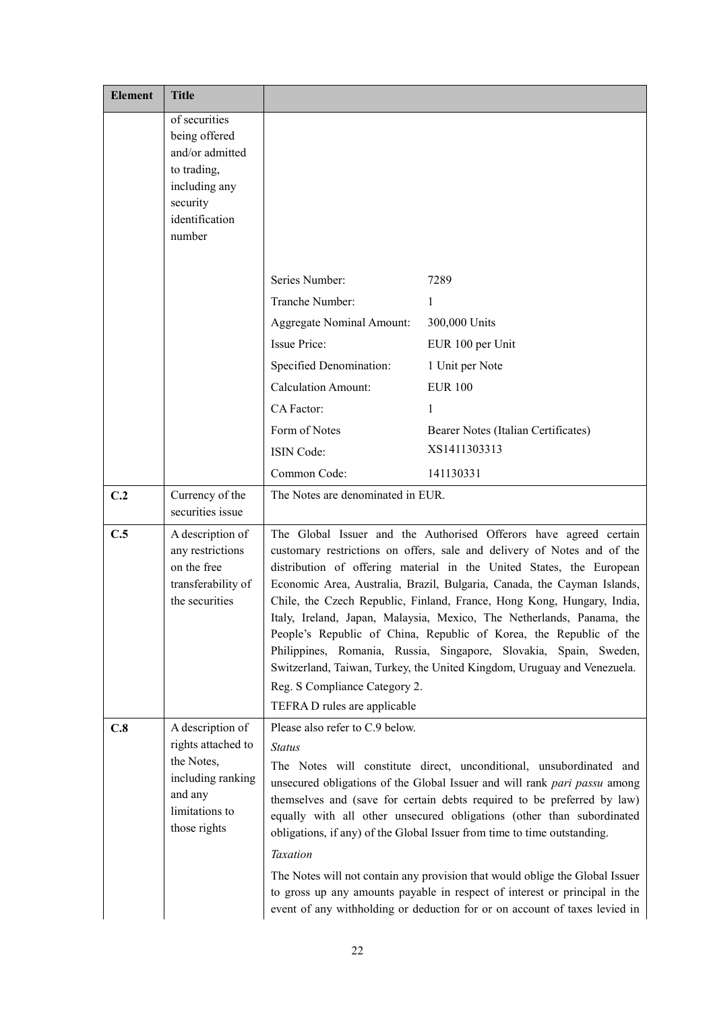| <b>Element</b> | <b>Title</b>                                                                                                              |                                                                                                                                                                                                                                                                                                                                                                                                                                                                                                                                                                                                                                                                                                                                           |                                     |
|----------------|---------------------------------------------------------------------------------------------------------------------------|-------------------------------------------------------------------------------------------------------------------------------------------------------------------------------------------------------------------------------------------------------------------------------------------------------------------------------------------------------------------------------------------------------------------------------------------------------------------------------------------------------------------------------------------------------------------------------------------------------------------------------------------------------------------------------------------------------------------------------------------|-------------------------------------|
|                | of securities<br>being offered<br>and/or admitted<br>to trading,<br>including any<br>security<br>identification<br>number |                                                                                                                                                                                                                                                                                                                                                                                                                                                                                                                                                                                                                                                                                                                                           |                                     |
|                |                                                                                                                           | Series Number:                                                                                                                                                                                                                                                                                                                                                                                                                                                                                                                                                                                                                                                                                                                            | 7289                                |
|                |                                                                                                                           | Tranche Number:                                                                                                                                                                                                                                                                                                                                                                                                                                                                                                                                                                                                                                                                                                                           | $\mathbf{1}$                        |
|                |                                                                                                                           | Aggregate Nominal Amount:                                                                                                                                                                                                                                                                                                                                                                                                                                                                                                                                                                                                                                                                                                                 | 300,000 Units                       |
|                |                                                                                                                           | Issue Price:                                                                                                                                                                                                                                                                                                                                                                                                                                                                                                                                                                                                                                                                                                                              | EUR 100 per Unit                    |
|                |                                                                                                                           | Specified Denomination:                                                                                                                                                                                                                                                                                                                                                                                                                                                                                                                                                                                                                                                                                                                   | 1 Unit per Note                     |
|                |                                                                                                                           | <b>Calculation Amount:</b>                                                                                                                                                                                                                                                                                                                                                                                                                                                                                                                                                                                                                                                                                                                | <b>EUR 100</b>                      |
|                |                                                                                                                           | CA Factor:                                                                                                                                                                                                                                                                                                                                                                                                                                                                                                                                                                                                                                                                                                                                | 1                                   |
|                |                                                                                                                           | Form of Notes                                                                                                                                                                                                                                                                                                                                                                                                                                                                                                                                                                                                                                                                                                                             | Bearer Notes (Italian Certificates) |
|                |                                                                                                                           | <b>ISIN Code:</b>                                                                                                                                                                                                                                                                                                                                                                                                                                                                                                                                                                                                                                                                                                                         | XS1411303313                        |
|                |                                                                                                                           | Common Code:                                                                                                                                                                                                                                                                                                                                                                                                                                                                                                                                                                                                                                                                                                                              | 141130331                           |
| C.2            | Currency of the<br>securities issue                                                                                       | The Notes are denominated in EUR.                                                                                                                                                                                                                                                                                                                                                                                                                                                                                                                                                                                                                                                                                                         |                                     |
| C.5            | A description of<br>any restrictions<br>on the free<br>transferability of<br>the securities                               | The Global Issuer and the Authorised Offerors have agreed certain<br>customary restrictions on offers, sale and delivery of Notes and of the<br>distribution of offering material in the United States, the European<br>Economic Area, Australia, Brazil, Bulgaria, Canada, the Cayman Islands,<br>Chile, the Czech Republic, Finland, France, Hong Kong, Hungary, India,<br>Italy, Ireland, Japan, Malaysia, Mexico, The Netherlands, Panama, the<br>People's Republic of China, Republic of Korea, the Republic of the<br>Philippines, Romania, Russia, Singapore, Slovakia, Spain, Sweden,<br>Switzerland, Taiwan, Turkey, the United Kingdom, Uruguay and Venezuela.<br>Reg. S Compliance Category 2.<br>TEFRA D rules are applicable |                                     |
| C.8            | A description of<br>rights attached to<br>the Notes,<br>including ranking<br>and any<br>limitations to<br>those rights    | Please also refer to C.9 below.<br><b>Status</b><br>The Notes will constitute direct, unconditional, unsubordinated and<br>unsecured obligations of the Global Issuer and will rank pari passu among<br>themselves and (save for certain debts required to be preferred by law)<br>equally with all other unsecured obligations (other than subordinated<br>obligations, if any) of the Global Issuer from time to time outstanding.<br><b>Taxation</b><br>The Notes will not contain any provision that would oblige the Global Issuer<br>to gross up any amounts payable in respect of interest or principal in the<br>event of any withholding or deduction for or on account of taxes levied in                                       |                                     |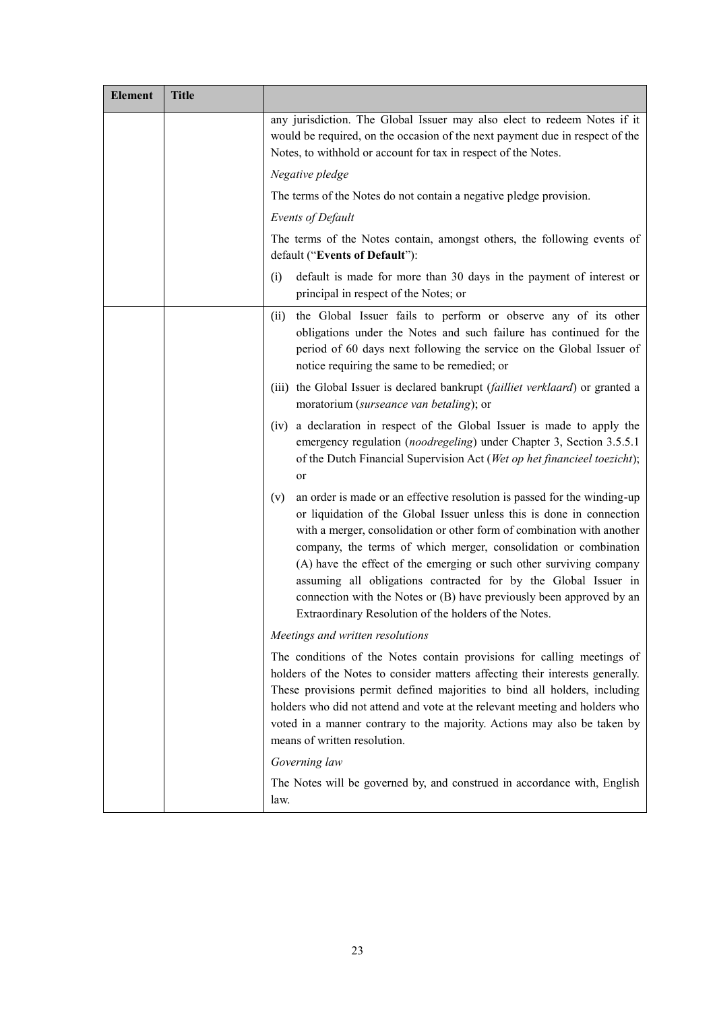| <b>Element</b> | <b>Title</b> |                                                                                                                                                                                                                                                                                                                                                                                                                                                                                                                                                                                   |  |
|----------------|--------------|-----------------------------------------------------------------------------------------------------------------------------------------------------------------------------------------------------------------------------------------------------------------------------------------------------------------------------------------------------------------------------------------------------------------------------------------------------------------------------------------------------------------------------------------------------------------------------------|--|
|                |              | any jurisdiction. The Global Issuer may also elect to redeem Notes if it<br>would be required, on the occasion of the next payment due in respect of the<br>Notes, to withhold or account for tax in respect of the Notes.                                                                                                                                                                                                                                                                                                                                                        |  |
|                |              | Negative pledge                                                                                                                                                                                                                                                                                                                                                                                                                                                                                                                                                                   |  |
|                |              | The terms of the Notes do not contain a negative pledge provision.                                                                                                                                                                                                                                                                                                                                                                                                                                                                                                                |  |
|                |              | Events of Default                                                                                                                                                                                                                                                                                                                                                                                                                                                                                                                                                                 |  |
|                |              | The terms of the Notes contain, amongst others, the following events of<br>default ("Events of Default"):                                                                                                                                                                                                                                                                                                                                                                                                                                                                         |  |
|                |              | default is made for more than 30 days in the payment of interest or<br>(i)<br>principal in respect of the Notes; or                                                                                                                                                                                                                                                                                                                                                                                                                                                               |  |
|                |              | the Global Issuer fails to perform or observe any of its other<br>(ii)<br>obligations under the Notes and such failure has continued for the<br>period of 60 days next following the service on the Global Issuer of<br>notice requiring the same to be remedied; or                                                                                                                                                                                                                                                                                                              |  |
|                |              | (iii) the Global Issuer is declared bankrupt (failliet verklaard) or granted a<br>moratorium (surseance van betaling); or                                                                                                                                                                                                                                                                                                                                                                                                                                                         |  |
|                |              | (iv) a declaration in respect of the Global Issuer is made to apply the<br>emergency regulation (noodregeling) under Chapter 3, Section 3.5.5.1<br>of the Dutch Financial Supervision Act (Wet op het financieel toezicht);<br>or                                                                                                                                                                                                                                                                                                                                                 |  |
|                |              | an order is made or an effective resolution is passed for the winding-up<br>(v)<br>or liquidation of the Global Issuer unless this is done in connection<br>with a merger, consolidation or other form of combination with another<br>company, the terms of which merger, consolidation or combination<br>(A) have the effect of the emerging or such other surviving company<br>assuming all obligations contracted for by the Global Issuer in<br>connection with the Notes or (B) have previously been approved by an<br>Extraordinary Resolution of the holders of the Notes. |  |
|                |              | Meetings and written resolutions                                                                                                                                                                                                                                                                                                                                                                                                                                                                                                                                                  |  |
|                |              | The conditions of the Notes contain provisions for calling meetings of<br>holders of the Notes to consider matters affecting their interests generally.<br>These provisions permit defined majorities to bind all holders, including<br>holders who did not attend and vote at the relevant meeting and holders who<br>voted in a manner contrary to the majority. Actions may also be taken by<br>means of written resolution.                                                                                                                                                   |  |
|                |              | Governing law                                                                                                                                                                                                                                                                                                                                                                                                                                                                                                                                                                     |  |
|                |              | The Notes will be governed by, and construed in accordance with, English<br>law.                                                                                                                                                                                                                                                                                                                                                                                                                                                                                                  |  |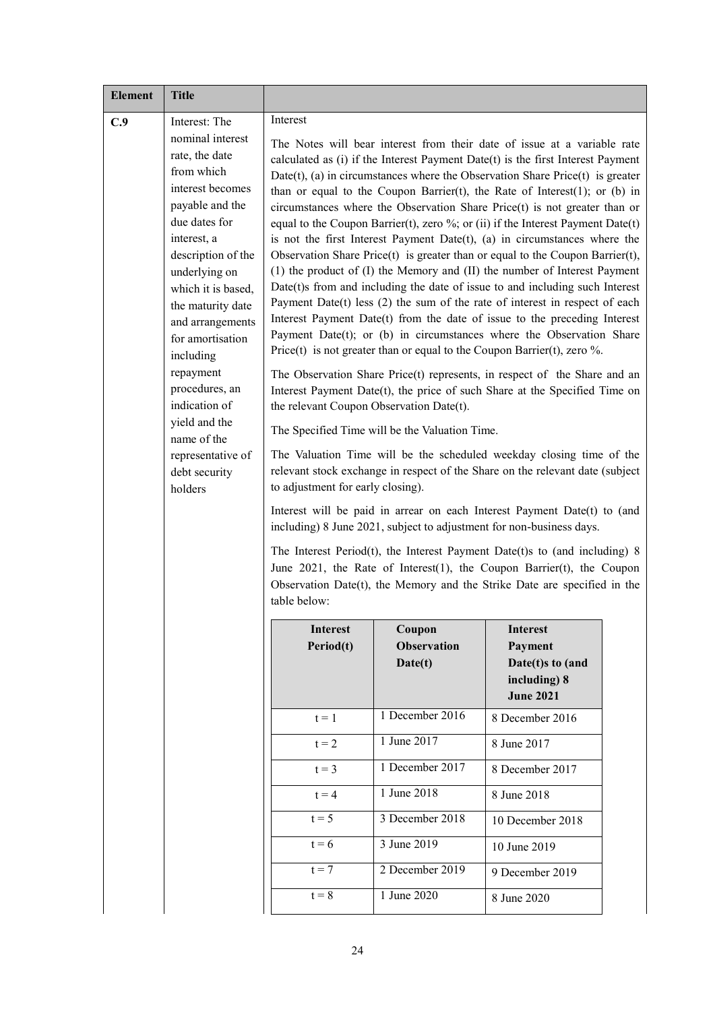| <b>Element</b> | <b>Title</b>                                                                                                                                                                                                                                                                                                                                                                                                     |                                                                                                           |                                                |                                                                                                                                                                                                                                                                                                                                                                                                                                                                                                                                                                                                                                                                                                                                                                                                                                                                                                                                                                                                                                                                                                                                                                                                                                                                                                                                                                                                                                                                                                                                                                                                                                                                                                                                                                                                                                                                    |  |
|----------------|------------------------------------------------------------------------------------------------------------------------------------------------------------------------------------------------------------------------------------------------------------------------------------------------------------------------------------------------------------------------------------------------------------------|-----------------------------------------------------------------------------------------------------------|------------------------------------------------|--------------------------------------------------------------------------------------------------------------------------------------------------------------------------------------------------------------------------------------------------------------------------------------------------------------------------------------------------------------------------------------------------------------------------------------------------------------------------------------------------------------------------------------------------------------------------------------------------------------------------------------------------------------------------------------------------------------------------------------------------------------------------------------------------------------------------------------------------------------------------------------------------------------------------------------------------------------------------------------------------------------------------------------------------------------------------------------------------------------------------------------------------------------------------------------------------------------------------------------------------------------------------------------------------------------------------------------------------------------------------------------------------------------------------------------------------------------------------------------------------------------------------------------------------------------------------------------------------------------------------------------------------------------------------------------------------------------------------------------------------------------------------------------------------------------------------------------------------------------------|--|
| C.9            | Interest: The<br>nominal interest<br>rate, the date<br>from which<br>interest becomes<br>payable and the<br>due dates for<br>interest, a<br>description of the<br>underlying on<br>which it is based,<br>the maturity date<br>and arrangements<br>for amortisation<br>including<br>repayment<br>procedures, an<br>indication of<br>yield and the<br>name of the<br>representative of<br>debt security<br>holders | Interest<br>the relevant Coupon Observation Date(t).<br>to adjustment for early closing).<br>table below: | The Specified Time will be the Valuation Time. | The Notes will bear interest from their date of issue at a variable rate<br>calculated as (i) if the Interest Payment Date(t) is the first Interest Payment<br>Date(t), (a) in circumstances where the Observation Share Price(t) is greater<br>than or equal to the Coupon Barrier(t), the Rate of Interest(1); or (b) in<br>circumstances where the Observation Share Price(t) is not greater than or<br>equal to the Coupon Barrier(t), zero %; or (ii) if the Interest Payment Date(t)<br>is not the first Interest Payment Date(t), (a) in circumstances where the<br>Observation Share Price $(t)$ is greater than or equal to the Coupon Barrier $(t)$ ,<br>(1) the product of (I) the Memory and (II) the number of Interest Payment<br>Date(t)s from and including the date of issue to and including such Interest<br>Payment Date(t) less $(2)$ the sum of the rate of interest in respect of each<br>Interest Payment Date(t) from the date of issue to the preceding Interest<br>Payment Date(t); or (b) in circumstances where the Observation Share<br>Price(t) is not greater than or equal to the Coupon Barrier(t), zero $\%$ .<br>The Observation Share Price(t) represents, in respect of the Share and an<br>Interest Payment Date(t), the price of such Share at the Specified Time on<br>The Valuation Time will be the scheduled weekday closing time of the<br>relevant stock exchange in respect of the Share on the relevant date (subject<br>Interest will be paid in arrear on each Interest Payment Date(t) to (and<br>including) 8 June 2021, subject to adjustment for non-business days.<br>The Interest Period(t), the Interest Payment Date(t)s to (and including) $8$<br>June 2021, the Rate of Interest(1), the Coupon Barrier(t), the Coupon<br>Observation Date $(t)$ , the Memory and the Strike Date are specified in the |  |
|                |                                                                                                                                                                                                                                                                                                                                                                                                                  | Interest<br>Period(t)                                                                                     | Coupon<br><b>Observation</b><br>Date(t)        | <b>Interest</b><br>Payment<br>Date(t)s to (and<br>including) 8<br><b>June 2021</b>                                                                                                                                                                                                                                                                                                                                                                                                                                                                                                                                                                                                                                                                                                                                                                                                                                                                                                                                                                                                                                                                                                                                                                                                                                                                                                                                                                                                                                                                                                                                                                                                                                                                                                                                                                                 |  |
|                |                                                                                                                                                                                                                                                                                                                                                                                                                  | $t = 1$                                                                                                   | 1 December 2016                                | 8 December 2016                                                                                                                                                                                                                                                                                                                                                                                                                                                                                                                                                                                                                                                                                                                                                                                                                                                                                                                                                                                                                                                                                                                                                                                                                                                                                                                                                                                                                                                                                                                                                                                                                                                                                                                                                                                                                                                    |  |
|                |                                                                                                                                                                                                                                                                                                                                                                                                                  | $t = 2$                                                                                                   | 1 June 2017                                    | 8 June 2017                                                                                                                                                                                                                                                                                                                                                                                                                                                                                                                                                                                                                                                                                                                                                                                                                                                                                                                                                                                                                                                                                                                                                                                                                                                                                                                                                                                                                                                                                                                                                                                                                                                                                                                                                                                                                                                        |  |
|                |                                                                                                                                                                                                                                                                                                                                                                                                                  | $t = 3$                                                                                                   | 1 December $2017$                              | 8 December 2017                                                                                                                                                                                                                                                                                                                                                                                                                                                                                                                                                                                                                                                                                                                                                                                                                                                                                                                                                                                                                                                                                                                                                                                                                                                                                                                                                                                                                                                                                                                                                                                                                                                                                                                                                                                                                                                    |  |
|                |                                                                                                                                                                                                                                                                                                                                                                                                                  | $t = 4$                                                                                                   | 1 June 2018                                    | 8 June 2018                                                                                                                                                                                                                                                                                                                                                                                                                                                                                                                                                                                                                                                                                                                                                                                                                                                                                                                                                                                                                                                                                                                                                                                                                                                                                                                                                                                                                                                                                                                                                                                                                                                                                                                                                                                                                                                        |  |
|                |                                                                                                                                                                                                                                                                                                                                                                                                                  | $t = 5$                                                                                                   | 3 December 2018<br>3 June 2019                 | 10 December 2018                                                                                                                                                                                                                                                                                                                                                                                                                                                                                                                                                                                                                                                                                                                                                                                                                                                                                                                                                                                                                                                                                                                                                                                                                                                                                                                                                                                                                                                                                                                                                                                                                                                                                                                                                                                                                                                   |  |
|                | $t = 6$                                                                                                                                                                                                                                                                                                                                                                                                          |                                                                                                           |                                                | 10 June 2019                                                                                                                                                                                                                                                                                                                                                                                                                                                                                                                                                                                                                                                                                                                                                                                                                                                                                                                                                                                                                                                                                                                                                                                                                                                                                                                                                                                                                                                                                                                                                                                                                                                                                                                                                                                                                                                       |  |
|                |                                                                                                                                                                                                                                                                                                                                                                                                                  | $t = 7$<br>$t = 8$                                                                                        | 2 December 2019<br>1 June 2020                 | 9 December 2019                                                                                                                                                                                                                                                                                                                                                                                                                                                                                                                                                                                                                                                                                                                                                                                                                                                                                                                                                                                                                                                                                                                                                                                                                                                                                                                                                                                                                                                                                                                                                                                                                                                                                                                                                                                                                                                    |  |
|                |                                                                                                                                                                                                                                                                                                                                                                                                                  |                                                                                                           |                                                | 8 June 2020                                                                                                                                                                                                                                                                                                                                                                                                                                                                                                                                                                                                                                                                                                                                                                                                                                                                                                                                                                                                                                                                                                                                                                                                                                                                                                                                                                                                                                                                                                                                                                                                                                                                                                                                                                                                                                                        |  |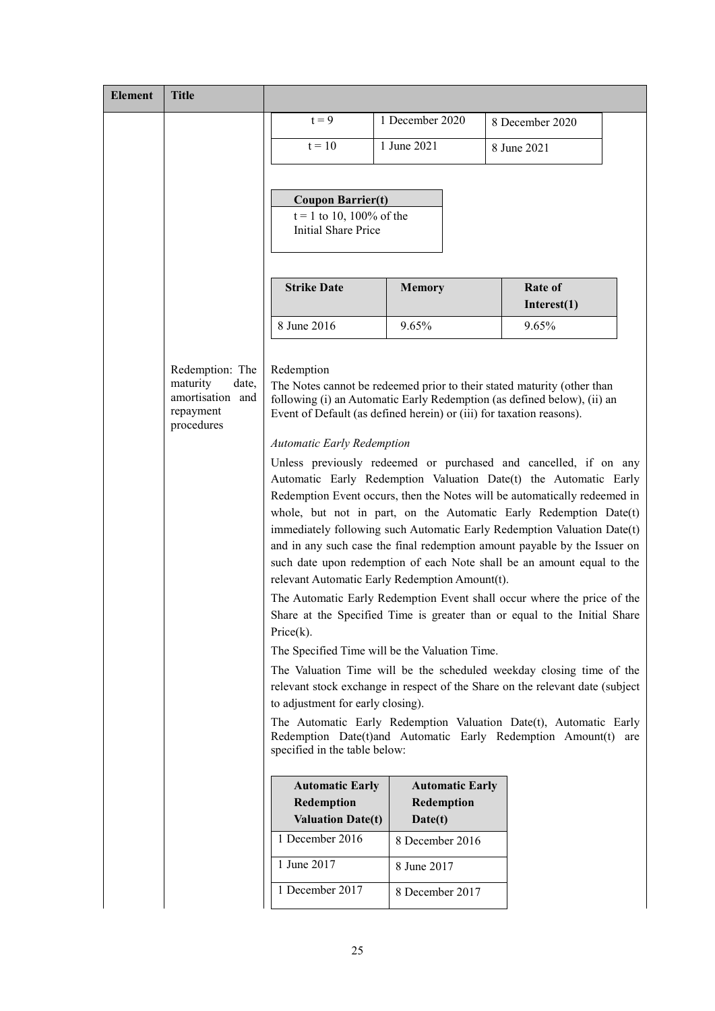| <b>Element</b> | <b>Title</b>                                                                        |                                                                                                                                                                                                                                                                                                                                                                                                                                         |                                                                                                      |                                                                                                                                                                                                                                                                                                                                                                                                                                                                                                                                                                                                                                                                                                                                                                                                                                                                                                                                                                                                                                                                                                                                           |
|----------------|-------------------------------------------------------------------------------------|-----------------------------------------------------------------------------------------------------------------------------------------------------------------------------------------------------------------------------------------------------------------------------------------------------------------------------------------------------------------------------------------------------------------------------------------|------------------------------------------------------------------------------------------------------|-------------------------------------------------------------------------------------------------------------------------------------------------------------------------------------------------------------------------------------------------------------------------------------------------------------------------------------------------------------------------------------------------------------------------------------------------------------------------------------------------------------------------------------------------------------------------------------------------------------------------------------------------------------------------------------------------------------------------------------------------------------------------------------------------------------------------------------------------------------------------------------------------------------------------------------------------------------------------------------------------------------------------------------------------------------------------------------------------------------------------------------------|
|                |                                                                                     | $t = 9$                                                                                                                                                                                                                                                                                                                                                                                                                                 | 1 December 2020                                                                                      | 8 December 2020                                                                                                                                                                                                                                                                                                                                                                                                                                                                                                                                                                                                                                                                                                                                                                                                                                                                                                                                                                                                                                                                                                                           |
|                |                                                                                     | $t = 10$                                                                                                                                                                                                                                                                                                                                                                                                                                | 1 June 2021                                                                                          | 8 June 2021                                                                                                                                                                                                                                                                                                                                                                                                                                                                                                                                                                                                                                                                                                                                                                                                                                                                                                                                                                                                                                                                                                                               |
|                |                                                                                     |                                                                                                                                                                                                                                                                                                                                                                                                                                         |                                                                                                      |                                                                                                                                                                                                                                                                                                                                                                                                                                                                                                                                                                                                                                                                                                                                                                                                                                                                                                                                                                                                                                                                                                                                           |
|                |                                                                                     | <b>Coupon Barrier(t)</b><br>$t = 1$ to 10, 100% of the<br><b>Initial Share Price</b>                                                                                                                                                                                                                                                                                                                                                    |                                                                                                      |                                                                                                                                                                                                                                                                                                                                                                                                                                                                                                                                                                                                                                                                                                                                                                                                                                                                                                                                                                                                                                                                                                                                           |
|                |                                                                                     | <b>Strike Date</b>                                                                                                                                                                                                                                                                                                                                                                                                                      | <b>Memory</b>                                                                                        | Rate of<br>Interest $(1)$                                                                                                                                                                                                                                                                                                                                                                                                                                                                                                                                                                                                                                                                                                                                                                                                                                                                                                                                                                                                                                                                                                                 |
|                |                                                                                     | 8 June 2016                                                                                                                                                                                                                                                                                                                                                                                                                             | 9.65%                                                                                                | 9.65%                                                                                                                                                                                                                                                                                                                                                                                                                                                                                                                                                                                                                                                                                                                                                                                                                                                                                                                                                                                                                                                                                                                                     |
|                | Redemption: The<br>maturity<br>date,<br>amortisation and<br>repayment<br>procedures | Redemption<br>Event of Default (as defined herein) or (iii) for taxation reasons).<br><b>Automatic Early Redemption</b><br>relevant Automatic Early Redemption Amount(t).<br>Price(k).<br>The Specified Time will be the Valuation Time.<br>to adjustment for early closing).<br>specified in the table below:<br><b>Automatic Early</b><br>Redemption<br><b>Valuation Date(t)</b><br>1 December 2016<br>1 June 2017<br>1 December 2017 | <b>Automatic Early</b><br>Redemption<br>Date(t)<br>8 December 2016<br>8 June 2017<br>8 December 2017 | The Notes cannot be redeemed prior to their stated maturity (other than<br>following (i) an Automatic Early Redemption (as defined below), (ii) an<br>Unless previously redeemed or purchased and cancelled, if on any<br>Automatic Early Redemption Valuation Date(t) the Automatic Early<br>Redemption Event occurs, then the Notes will be automatically redeemed in<br>whole, but not in part, on the Automatic Early Redemption Date(t)<br>immediately following such Automatic Early Redemption Valuation Date(t)<br>and in any such case the final redemption amount payable by the Issuer on<br>such date upon redemption of each Note shall be an amount equal to the<br>The Automatic Early Redemption Event shall occur where the price of the<br>Share at the Specified Time is greater than or equal to the Initial Share<br>The Valuation Time will be the scheduled weekday closing time of the<br>relevant stock exchange in respect of the Share on the relevant date (subject<br>The Automatic Early Redemption Valuation Date(t), Automatic Early<br>Redemption Date(t)and Automatic Early Redemption Amount(t)<br>are |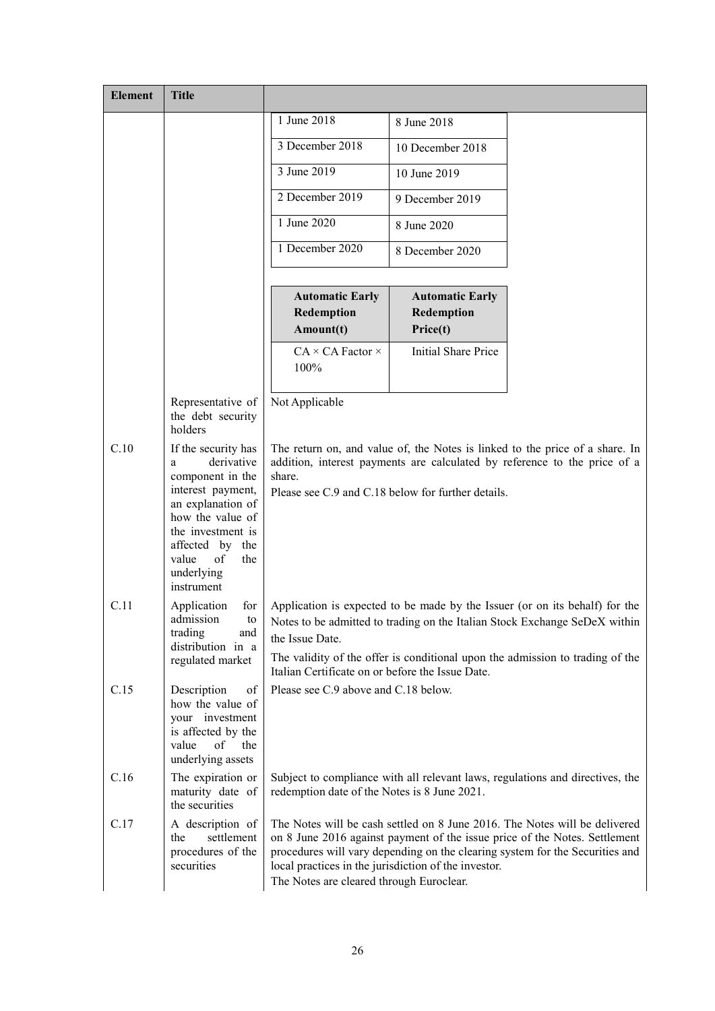| <b>Element</b> | <b>Title</b>                                                                                                                                                                                                       |                                                                                                                                                                                                                                                                                                                                              |                                                    |                                                                                                                                                           |  |
|----------------|--------------------------------------------------------------------------------------------------------------------------------------------------------------------------------------------------------------------|----------------------------------------------------------------------------------------------------------------------------------------------------------------------------------------------------------------------------------------------------------------------------------------------------------------------------------------------|----------------------------------------------------|-----------------------------------------------------------------------------------------------------------------------------------------------------------|--|
|                |                                                                                                                                                                                                                    | 1 June 2018                                                                                                                                                                                                                                                                                                                                  | 8 June 2018                                        |                                                                                                                                                           |  |
|                |                                                                                                                                                                                                                    | 3 December 2018                                                                                                                                                                                                                                                                                                                              | 10 December 2018                                   |                                                                                                                                                           |  |
|                |                                                                                                                                                                                                                    | 3 June 2019                                                                                                                                                                                                                                                                                                                                  | 10 June 2019                                       |                                                                                                                                                           |  |
|                |                                                                                                                                                                                                                    | 2 December 2019                                                                                                                                                                                                                                                                                                                              | 9 December 2019                                    |                                                                                                                                                           |  |
|                |                                                                                                                                                                                                                    | 1 June 2020                                                                                                                                                                                                                                                                                                                                  | 8 June 2020                                        |                                                                                                                                                           |  |
|                |                                                                                                                                                                                                                    | 1 December 2020                                                                                                                                                                                                                                                                                                                              | 8 December 2020                                    |                                                                                                                                                           |  |
|                |                                                                                                                                                                                                                    | <b>Automatic Early</b><br>Redemption<br>Amount(t)                                                                                                                                                                                                                                                                                            | <b>Automatic Early</b><br>Redemption<br>Price(t)   |                                                                                                                                                           |  |
|                |                                                                                                                                                                                                                    | $CA \times CA$ Factor $\times$<br>100%                                                                                                                                                                                                                                                                                                       | <b>Initial Share Price</b>                         |                                                                                                                                                           |  |
|                | Representative of<br>the debt security<br>holders                                                                                                                                                                  | Not Applicable                                                                                                                                                                                                                                                                                                                               |                                                    |                                                                                                                                                           |  |
| C.10           | If the security has<br>derivative<br>a<br>component in the<br>interest payment,<br>an explanation of<br>how the value of<br>the investment is<br>affected by the<br>value<br>of<br>the<br>underlying<br>instrument | share.                                                                                                                                                                                                                                                                                                                                       | Please see C.9 and C.18 below for further details. | The return on, and value of, the Notes is linked to the price of a share. In<br>addition, interest payments are calculated by reference to the price of a |  |
| C.11           | Application<br>for<br>admission<br>$\mathop{\mathrm{to}}$                                                                                                                                                          |                                                                                                                                                                                                                                                                                                                                              |                                                    | Application is expected to be made by the Issuer (or on its behalf) for the<br>Notes to be admitted to trading on the Italian Stock Exchange SeDeX within |  |
|                | trading<br>and<br>distribution in a                                                                                                                                                                                | the Issue Date.                                                                                                                                                                                                                                                                                                                              |                                                    |                                                                                                                                                           |  |
|                | regulated market                                                                                                                                                                                                   | The validity of the offer is conditional upon the admission to trading of the<br>Italian Certificate on or before the Issue Date.                                                                                                                                                                                                            |                                                    |                                                                                                                                                           |  |
| C.15           | Description<br>of<br>how the value of<br>your investment<br>is affected by the<br>value<br>of<br>the<br>underlying assets                                                                                          | Please see C.9 above and C.18 below.                                                                                                                                                                                                                                                                                                         |                                                    |                                                                                                                                                           |  |
| C.16           | The expiration or<br>maturity date of<br>the securities                                                                                                                                                            | redemption date of the Notes is 8 June 2021.                                                                                                                                                                                                                                                                                                 |                                                    | Subject to compliance with all relevant laws, regulations and directives, the                                                                             |  |
| C.17           | A description of<br>the<br>settlement<br>procedures of the<br>securities                                                                                                                                           | The Notes will be cash settled on 8 June 2016. The Notes will be delivered<br>on 8 June 2016 against payment of the issue price of the Notes. Settlement<br>procedures will vary depending on the clearing system for the Securities and<br>local practices in the jurisdiction of the investor.<br>The Notes are cleared through Euroclear. |                                                    |                                                                                                                                                           |  |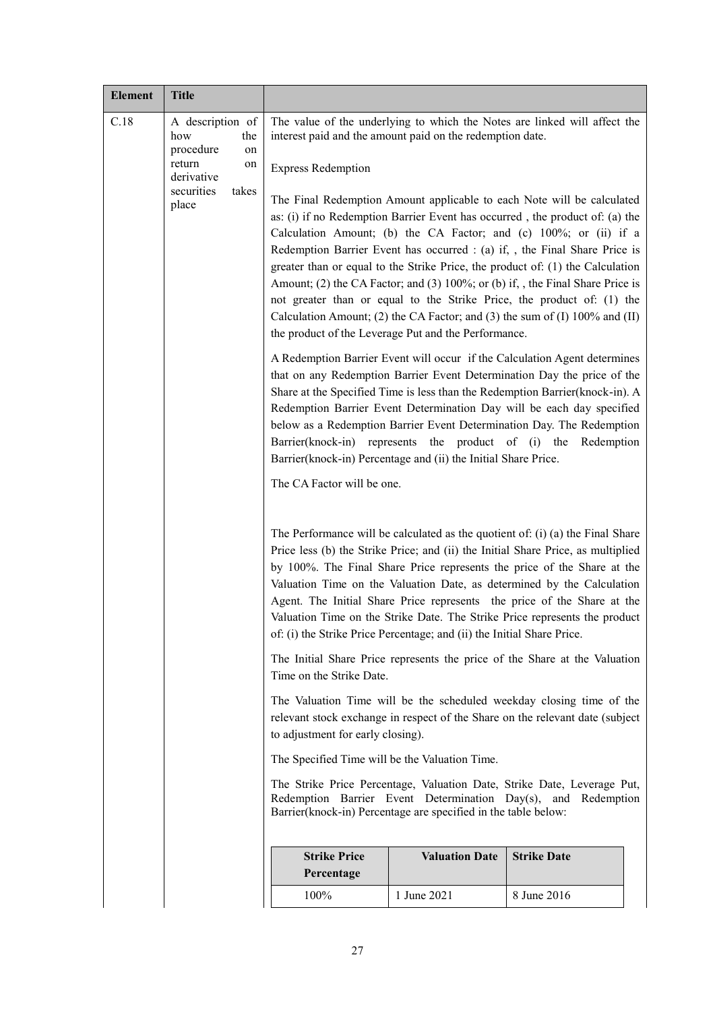| <b>Element</b>                                                                                                                                                                                             | <b>Title</b>                                                                                                    |                                                                                                                                                                                                                                                                                                                                                                                                                                                  |                       |                                                                                                                                                                                                                                                                                                                                                                                                                                                                                                                                                                                                                                                                                                                                                                                                                                                                                                                                                                                                                                                                                                                                                                                                                                                                                                                                                                                                                                                                                                                                                                                                                                                                                                                                                                                                                                                             |
|------------------------------------------------------------------------------------------------------------------------------------------------------------------------------------------------------------|-----------------------------------------------------------------------------------------------------------------|--------------------------------------------------------------------------------------------------------------------------------------------------------------------------------------------------------------------------------------------------------------------------------------------------------------------------------------------------------------------------------------------------------------------------------------------------|-----------------------|-------------------------------------------------------------------------------------------------------------------------------------------------------------------------------------------------------------------------------------------------------------------------------------------------------------------------------------------------------------------------------------------------------------------------------------------------------------------------------------------------------------------------------------------------------------------------------------------------------------------------------------------------------------------------------------------------------------------------------------------------------------------------------------------------------------------------------------------------------------------------------------------------------------------------------------------------------------------------------------------------------------------------------------------------------------------------------------------------------------------------------------------------------------------------------------------------------------------------------------------------------------------------------------------------------------------------------------------------------------------------------------------------------------------------------------------------------------------------------------------------------------------------------------------------------------------------------------------------------------------------------------------------------------------------------------------------------------------------------------------------------------------------------------------------------------------------------------------------------------|
| C.18                                                                                                                                                                                                       | A description of<br>how<br>the<br>procedure<br>on<br>return<br>on<br>derivative<br>securities<br>takes<br>place | interest paid and the amount paid on the redemption date.<br><b>Express Redemption</b><br>the product of the Leverage Put and the Performance.<br>Barrier(knock-in) represents the product of (i) the<br>Barrier(knock-in) Percentage and (ii) the Initial Share Price.<br>The CA Factor will be one.<br>of: (i) the Strike Price Percentage; and (ii) the Initial Share Price.<br>Time on the Strike Date.<br>to adjustment for early closing). |                       | The value of the underlying to which the Notes are linked will affect the<br>The Final Redemption Amount applicable to each Note will be calculated<br>as: (i) if no Redemption Barrier Event has occurred, the product of: (a) the<br>Calculation Amount; (b) the CA Factor; and (c) 100%; or (ii) if a<br>Redemption Barrier Event has occurred : (a) if, , the Final Share Price is<br>greater than or equal to the Strike Price, the product of: (1) the Calculation<br>Amount; (2) the CA Factor; and (3) 100%; or (b) if, , the Final Share Price is<br>not greater than or equal to the Strike Price, the product of: (1) the<br>Calculation Amount; (2) the CA Factor; and (3) the sum of (I) $100\%$ and (II)<br>A Redemption Barrier Event will occur if the Calculation Agent determines<br>that on any Redemption Barrier Event Determination Day the price of the<br>Share at the Specified Time is less than the Redemption Barrier(knock-in). A<br>Redemption Barrier Event Determination Day will be each day specified<br>below as a Redemption Barrier Event Determination Day. The Redemption<br>Redemption<br>The Performance will be calculated as the quotient of: $(i)$ (a) the Final Share<br>Price less (b) the Strike Price; and (ii) the Initial Share Price, as multiplied<br>by 100%. The Final Share Price represents the price of the Share at the<br>Valuation Time on the Valuation Date, as determined by the Calculation<br>Agent. The Initial Share Price represents the price of the Share at the<br>Valuation Time on the Strike Date. The Strike Price represents the product<br>The Initial Share Price represents the price of the Share at the Valuation<br>The Valuation Time will be the scheduled weekday closing time of the<br>relevant stock exchange in respect of the Share on the relevant date (subject |
|                                                                                                                                                                                                            |                                                                                                                 | The Specified Time will be the Valuation Time.                                                                                                                                                                                                                                                                                                                                                                                                   |                       |                                                                                                                                                                                                                                                                                                                                                                                                                                                                                                                                                                                                                                                                                                                                                                                                                                                                                                                                                                                                                                                                                                                                                                                                                                                                                                                                                                                                                                                                                                                                                                                                                                                                                                                                                                                                                                                             |
| The Strike Price Percentage, Valuation Date, Strike Date, Leverage Put,<br>Redemption Barrier Event Determination Day(s), and Redemption<br>Barrier(knock-in) Percentage are specified in the table below: |                                                                                                                 |                                                                                                                                                                                                                                                                                                                                                                                                                                                  |                       |                                                                                                                                                                                                                                                                                                                                                                                                                                                                                                                                                                                                                                                                                                                                                                                                                                                                                                                                                                                                                                                                                                                                                                                                                                                                                                                                                                                                                                                                                                                                                                                                                                                                                                                                                                                                                                                             |
|                                                                                                                                                                                                            |                                                                                                                 | <b>Strike Price</b><br>Percentage                                                                                                                                                                                                                                                                                                                                                                                                                | <b>Valuation Date</b> | <b>Strike Date</b>                                                                                                                                                                                                                                                                                                                                                                                                                                                                                                                                                                                                                                                                                                                                                                                                                                                                                                                                                                                                                                                                                                                                                                                                                                                                                                                                                                                                                                                                                                                                                                                                                                                                                                                                                                                                                                          |
|                                                                                                                                                                                                            |                                                                                                                 | 100%                                                                                                                                                                                                                                                                                                                                                                                                                                             | 1 June 2021           | 8 June 2016                                                                                                                                                                                                                                                                                                                                                                                                                                                                                                                                                                                                                                                                                                                                                                                                                                                                                                                                                                                                                                                                                                                                                                                                                                                                                                                                                                                                                                                                                                                                                                                                                                                                                                                                                                                                                                                 |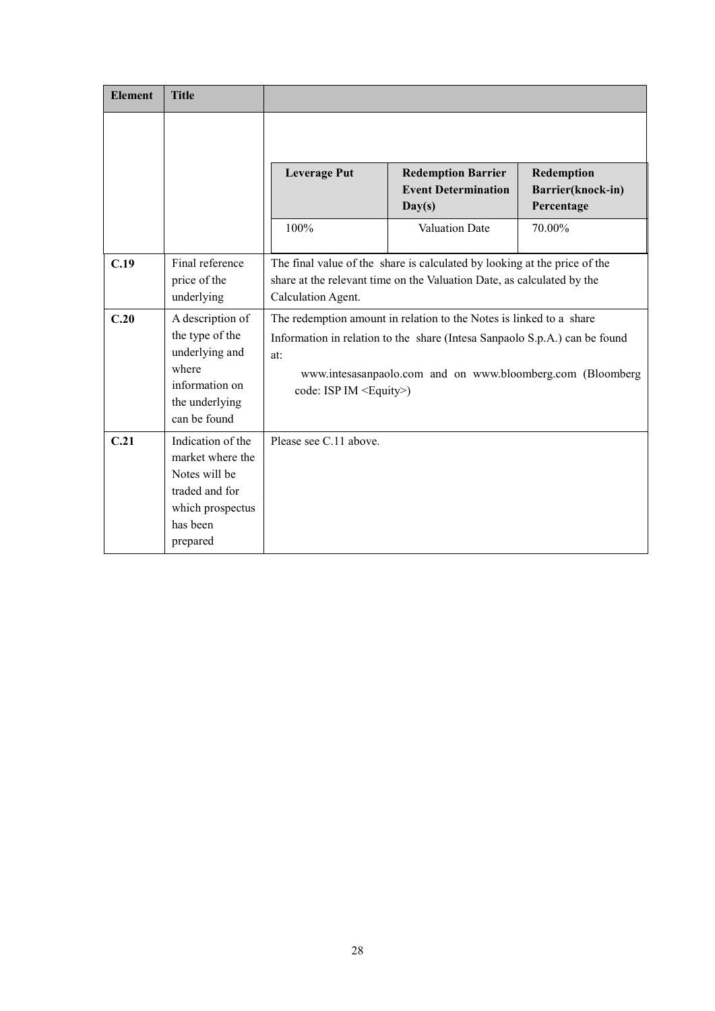| <b>Element</b> | <b>Title</b>                                                                                                         |                                        |                                                                                                                                                                                                                 |                                               |
|----------------|----------------------------------------------------------------------------------------------------------------------|----------------------------------------|-----------------------------------------------------------------------------------------------------------------------------------------------------------------------------------------------------------------|-----------------------------------------------|
|                |                                                                                                                      |                                        |                                                                                                                                                                                                                 |                                               |
|                |                                                                                                                      | <b>Leverage Put</b>                    | <b>Redemption Barrier</b><br><b>Event Determination</b><br>Day(s)                                                                                                                                               | Redemption<br>Barrier(knock-in)<br>Percentage |
|                |                                                                                                                      | 100%                                   | <b>Valuation Date</b>                                                                                                                                                                                           | 70.00%                                        |
| C.19           | Final reference<br>price of the<br>underlying                                                                        | Calculation Agent.                     | The final value of the share is calculated by looking at the price of the<br>share at the relevant time on the Valuation Date, as calculated by the                                                             |                                               |
| C.20           | A description of<br>the type of the<br>underlying and<br>where<br>information on<br>the underlying<br>can be found   | at:<br>code: ISP IM <equity>)</equity> | The redemption amount in relation to the Notes is linked to a share<br>Information in relation to the share (Intesa Sanpaolo S.p.A.) can be found<br>www.intesasanpaolo.com and on www.bloomberg.com (Bloomberg |                                               |
| C.21           | Indication of the<br>market where the<br>Notes will be<br>traded and for<br>which prospectus<br>has been<br>prepared | Please see C.11 above.                 |                                                                                                                                                                                                                 |                                               |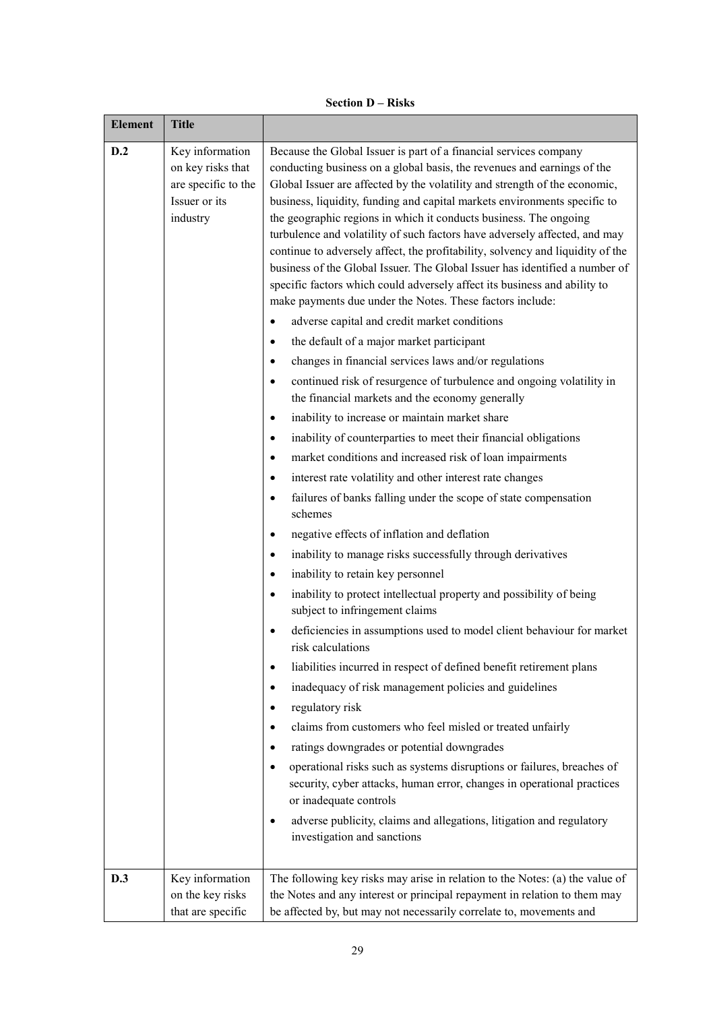| <b>Element</b> | <b>Title</b>                                                                             |                                                                                                                                                                                                                                                                                                                                                                                                                                                                                                                                                                                                                                                                                                                                                                                                                                                                                                                                                                                                                                                                                                                                                                                                                                                                                                                                                                                                                                                                                                                                                                                                                                                                                                                                                                                                                                                                                                                                                                                                                                                                                                                                                                                                                                                                                                                        |
|----------------|------------------------------------------------------------------------------------------|------------------------------------------------------------------------------------------------------------------------------------------------------------------------------------------------------------------------------------------------------------------------------------------------------------------------------------------------------------------------------------------------------------------------------------------------------------------------------------------------------------------------------------------------------------------------------------------------------------------------------------------------------------------------------------------------------------------------------------------------------------------------------------------------------------------------------------------------------------------------------------------------------------------------------------------------------------------------------------------------------------------------------------------------------------------------------------------------------------------------------------------------------------------------------------------------------------------------------------------------------------------------------------------------------------------------------------------------------------------------------------------------------------------------------------------------------------------------------------------------------------------------------------------------------------------------------------------------------------------------------------------------------------------------------------------------------------------------------------------------------------------------------------------------------------------------------------------------------------------------------------------------------------------------------------------------------------------------------------------------------------------------------------------------------------------------------------------------------------------------------------------------------------------------------------------------------------------------------------------------------------------------------------------------------------------------|
| D.2            | Key information<br>on key risks that<br>are specific to the<br>Issuer or its<br>industry | Because the Global Issuer is part of a financial services company<br>conducting business on a global basis, the revenues and earnings of the<br>Global Issuer are affected by the volatility and strength of the economic,<br>business, liquidity, funding and capital markets environments specific to<br>the geographic regions in which it conducts business. The ongoing<br>turbulence and volatility of such factors have adversely affected, and may<br>continue to adversely affect, the profitability, solvency and liquidity of the<br>business of the Global Issuer. The Global Issuer has identified a number of<br>specific factors which could adversely affect its business and ability to<br>make payments due under the Notes. These factors include:<br>adverse capital and credit market conditions<br>the default of a major market participant<br>$\bullet$<br>changes in financial services laws and/or regulations<br>$\bullet$<br>continued risk of resurgence of turbulence and ongoing volatility in<br>$\bullet$<br>the financial markets and the economy generally<br>inability to increase or maintain market share<br>$\bullet$<br>inability of counterparties to meet their financial obligations<br>$\bullet$<br>market conditions and increased risk of loan impairments<br>$\bullet$<br>interest rate volatility and other interest rate changes<br>٠<br>failures of banks falling under the scope of state compensation<br>$\bullet$<br>schemes<br>negative effects of inflation and deflation<br>٠<br>inability to manage risks successfully through derivatives<br>٠<br>inability to retain key personnel<br>٠<br>inability to protect intellectual property and possibility of being<br>٠<br>subject to infringement claims<br>deficiencies in assumptions used to model client behaviour for market<br>risk calculations<br>liabilities incurred in respect of defined benefit retirement plans<br>٠<br>inadequacy of risk management policies and guidelines<br>٠<br>regulatory risk<br>٠<br>claims from customers who feel misled or treated unfairly<br>٠<br>ratings downgrades or potential downgrades<br>$\bullet$<br>operational risks such as systems disruptions or failures, breaches of<br>٠<br>security, cyber attacks, human error, changes in operational practices |
|                |                                                                                          | or inadequate controls<br>adverse publicity, claims and allegations, litigation and regulatory<br>$\bullet$<br>investigation and sanctions                                                                                                                                                                                                                                                                                                                                                                                                                                                                                                                                                                                                                                                                                                                                                                                                                                                                                                                                                                                                                                                                                                                                                                                                                                                                                                                                                                                                                                                                                                                                                                                                                                                                                                                                                                                                                                                                                                                                                                                                                                                                                                                                                                             |
| D.3            | Key information<br>on the key risks<br>that are specific                                 | The following key risks may arise in relation to the Notes: (a) the value of<br>the Notes and any interest or principal repayment in relation to them may<br>be affected by, but may not necessarily correlate to, movements and                                                                                                                                                                                                                                                                                                                                                                                                                                                                                                                                                                                                                                                                                                                                                                                                                                                                                                                                                                                                                                                                                                                                                                                                                                                                                                                                                                                                                                                                                                                                                                                                                                                                                                                                                                                                                                                                                                                                                                                                                                                                                       |

# **Section D – Risks**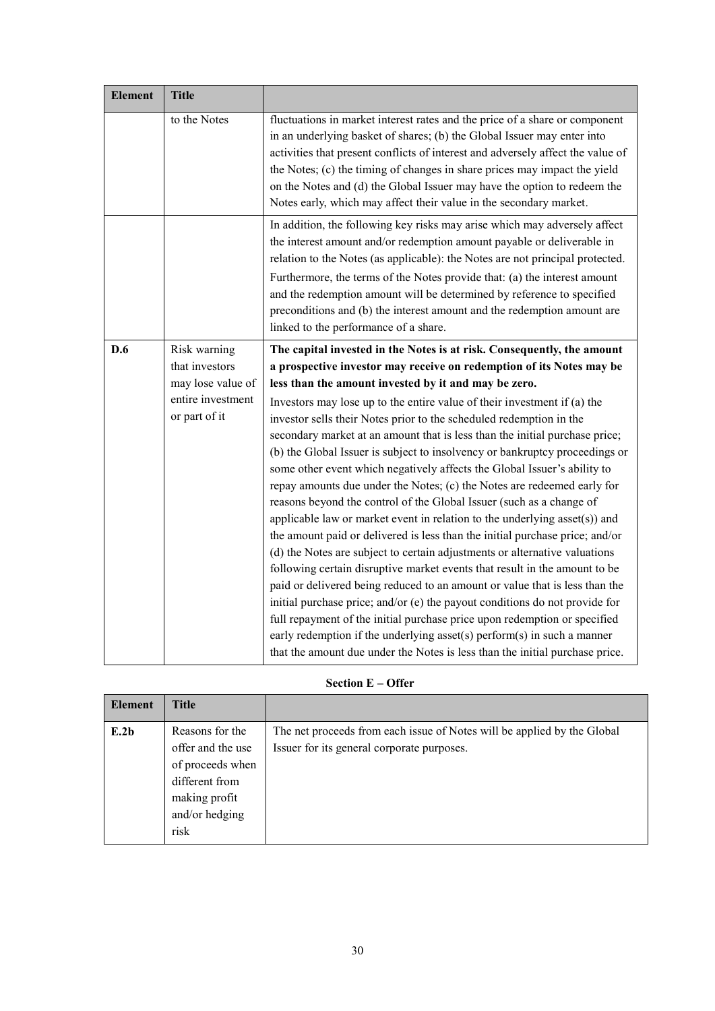| <b>Element</b> | <b>Title</b>                       |                                                                                                                                                                                                                                                                                                                                                                                                                                                                                                                                                                                                                                                                                                                                                                                                                                                                                                                                                                                                                                                                                                                                                                                                                                                                                |
|----------------|------------------------------------|--------------------------------------------------------------------------------------------------------------------------------------------------------------------------------------------------------------------------------------------------------------------------------------------------------------------------------------------------------------------------------------------------------------------------------------------------------------------------------------------------------------------------------------------------------------------------------------------------------------------------------------------------------------------------------------------------------------------------------------------------------------------------------------------------------------------------------------------------------------------------------------------------------------------------------------------------------------------------------------------------------------------------------------------------------------------------------------------------------------------------------------------------------------------------------------------------------------------------------------------------------------------------------|
|                | to the Notes                       | fluctuations in market interest rates and the price of a share or component<br>in an underlying basket of shares; (b) the Global Issuer may enter into<br>activities that present conflicts of interest and adversely affect the value of<br>the Notes; (c) the timing of changes in share prices may impact the yield<br>on the Notes and (d) the Global Issuer may have the option to redeem the<br>Notes early, which may affect their value in the secondary market.                                                                                                                                                                                                                                                                                                                                                                                                                                                                                                                                                                                                                                                                                                                                                                                                       |
|                |                                    | In addition, the following key risks may arise which may adversely affect<br>the interest amount and/or redemption amount payable or deliverable in<br>relation to the Notes (as applicable): the Notes are not principal protected.<br>Furthermore, the terms of the Notes provide that: (a) the interest amount<br>and the redemption amount will be determined by reference to specified<br>preconditions and (b) the interest amount and the redemption amount are<br>linked to the performance of a share.                                                                                                                                                                                                                                                                                                                                                                                                                                                                                                                                                                                                                                                                                                                                                                |
| D.6            | Risk warning<br>that investors     | The capital invested in the Notes is at risk. Consequently, the amount<br>a prospective investor may receive on redemption of its Notes may be                                                                                                                                                                                                                                                                                                                                                                                                                                                                                                                                                                                                                                                                                                                                                                                                                                                                                                                                                                                                                                                                                                                                 |
|                | may lose value of                  | less than the amount invested by it and may be zero.                                                                                                                                                                                                                                                                                                                                                                                                                                                                                                                                                                                                                                                                                                                                                                                                                                                                                                                                                                                                                                                                                                                                                                                                                           |
|                | entire investment<br>or part of it | Investors may lose up to the entire value of their investment if $(a)$ the<br>investor sells their Notes prior to the scheduled redemption in the<br>secondary market at an amount that is less than the initial purchase price;<br>(b) the Global Issuer is subject to insolvency or bankruptcy proceedings or<br>some other event which negatively affects the Global Issuer's ability to<br>repay amounts due under the Notes; (c) the Notes are redeemed early for<br>reasons beyond the control of the Global Issuer (such as a change of<br>applicable law or market event in relation to the underlying asset(s)) and<br>the amount paid or delivered is less than the initial purchase price; and/or<br>(d) the Notes are subject to certain adjustments or alternative valuations<br>following certain disruptive market events that result in the amount to be<br>paid or delivered being reduced to an amount or value that is less than the<br>initial purchase price; and/or (e) the payout conditions do not provide for<br>full repayment of the initial purchase price upon redemption or specified<br>early redemption if the underlying asset(s) perform(s) in such a manner<br>that the amount due under the Notes is less than the initial purchase price. |

# **Section E – Offer**

| <b>Element</b> | <b>Title</b>                                                                                                          |                                                                                                                       |
|----------------|-----------------------------------------------------------------------------------------------------------------------|-----------------------------------------------------------------------------------------------------------------------|
| E.2b           | Reasons for the<br>offer and the use<br>of proceeds when<br>different from<br>making profit<br>and/or hedging<br>risk | The net proceeds from each issue of Notes will be applied by the Global<br>Issuer for its general corporate purposes. |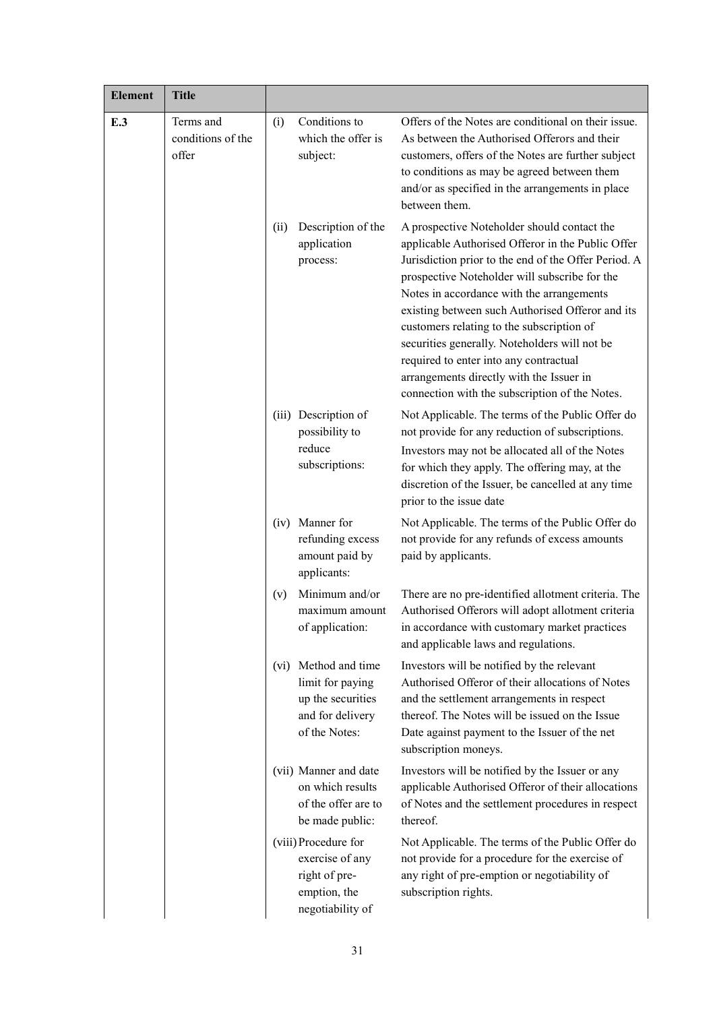| <b>Element</b> | <b>Title</b>                            |      |                                                                                               |                                                                                                                                                                                                                                                                                                                                                                                                                                                                                                                                                  |
|----------------|-----------------------------------------|------|-----------------------------------------------------------------------------------------------|--------------------------------------------------------------------------------------------------------------------------------------------------------------------------------------------------------------------------------------------------------------------------------------------------------------------------------------------------------------------------------------------------------------------------------------------------------------------------------------------------------------------------------------------------|
| E.3            | Terms and<br>conditions of the<br>offer | (i)  | Conditions to<br>which the offer is<br>subject:                                               | Offers of the Notes are conditional on their issue.<br>As between the Authorised Offerors and their<br>customers, offers of the Notes are further subject<br>to conditions as may be agreed between them<br>and/or as specified in the arrangements in place<br>between them.                                                                                                                                                                                                                                                                    |
|                |                                         | (ii) | Description of the<br>application<br>process:                                                 | A prospective Noteholder should contact the<br>applicable Authorised Offeror in the Public Offer<br>Jurisdiction prior to the end of the Offer Period. A<br>prospective Noteholder will subscribe for the<br>Notes in accordance with the arrangements<br>existing between such Authorised Offeror and its<br>customers relating to the subscription of<br>securities generally. Noteholders will not be<br>required to enter into any contractual<br>arrangements directly with the Issuer in<br>connection with the subscription of the Notes. |
|                |                                         |      | (iii) Description of<br>possibility to<br>reduce<br>subscriptions:                            | Not Applicable. The terms of the Public Offer do<br>not provide for any reduction of subscriptions.<br>Investors may not be allocated all of the Notes<br>for which they apply. The offering may, at the<br>discretion of the Issuer, be cancelled at any time<br>prior to the issue date                                                                                                                                                                                                                                                        |
|                |                                         | (iv) | Manner for<br>refunding excess<br>amount paid by<br>applicants:                               | Not Applicable. The terms of the Public Offer do<br>not provide for any refunds of excess amounts<br>paid by applicants.                                                                                                                                                                                                                                                                                                                                                                                                                         |
|                |                                         | (v)  | Minimum and/or<br>maximum amount<br>of application:                                           | There are no pre-identified allotment criteria. The<br>Authorised Offerors will adopt allotment criteria<br>in accordance with customary market practices<br>and applicable laws and regulations.                                                                                                                                                                                                                                                                                                                                                |
|                |                                         | (vi) | Method and time<br>limit for paying<br>up the securities<br>and for delivery<br>of the Notes: | Investors will be notified by the relevant<br>Authorised Offeror of their allocations of Notes<br>and the settlement arrangements in respect<br>thereof. The Notes will be issued on the Issue<br>Date against payment to the Issuer of the net<br>subscription moneys.                                                                                                                                                                                                                                                                          |
|                |                                         |      | (vii) Manner and date<br>on which results<br>of the offer are to<br>be made public:           | Investors will be notified by the Issuer or any<br>applicable Authorised Offeror of their allocations<br>of Notes and the settlement procedures in respect<br>thereof.                                                                                                                                                                                                                                                                                                                                                                           |
|                |                                         |      | (viii) Procedure for<br>exercise of any<br>right of pre-<br>emption, the<br>negotiability of  | Not Applicable. The terms of the Public Offer do<br>not provide for a procedure for the exercise of<br>any right of pre-emption or negotiability of<br>subscription rights.                                                                                                                                                                                                                                                                                                                                                                      |